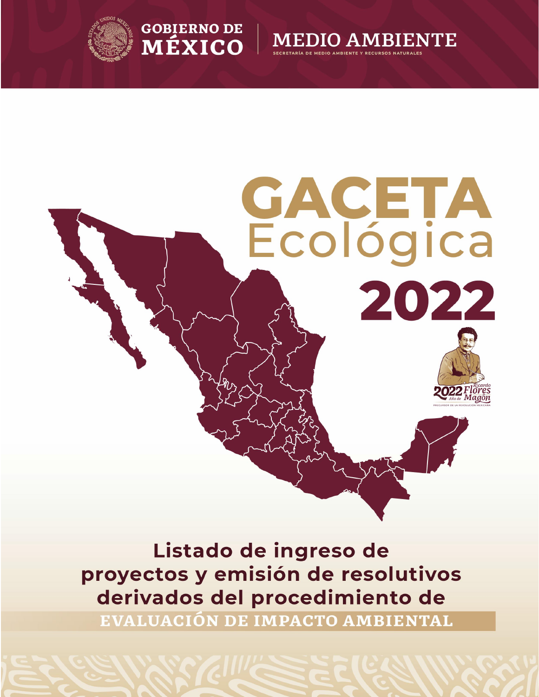







Listado de ingreso de proyectos y emisión de resolutivos derivados del procedimiento de

EVALUACIÓN DE IMPACTO AMBIENTAL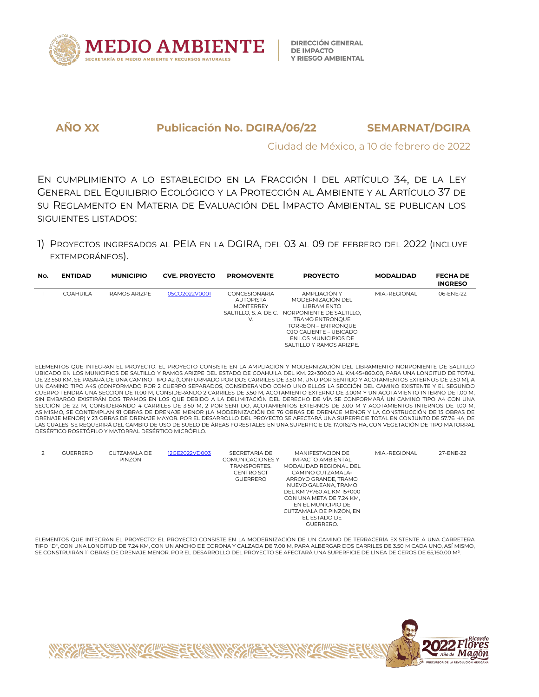

Ciudad de México, a 10 de febrero de 2022

EN CUMPLIMIENTO A LO ESTABLECIDO EN LA FRACCIÓN I DEL ARTÍCULO 34, DE LA LEY GENERAL DEL EQUILIBRIO ECOLÓGICO Y LA PROTECCIÓN AL AMBIENTE Y AL ARTÍCULO 37 DE SU REGLAMENTO EN MATERIA DE EVALUACIÓN DEL IMPACTO AMBIENTAL SE PUBLICAN LOS SIGUIENTES LISTADOS:

1) PROYECTOS INGRESADOS AL PEIA EN LADGIRA, DEL 03 AL 09 DEFEBRERO DEL 2022 (INCLUYE EXTEMPORÁNEOS).

| No. | <b>ENTIDAD</b>  | <b>MUNICIPIO</b> | <b>CVE. PROYECTO</b> | <b>PROMOVENTE</b>                                                                           | <b>PROYECTO</b>                                                                                                                                                                                                     | <b>MODALIDAD</b> | <b>FECHA DE</b><br><b>INGRESO</b> |
|-----|-----------------|------------------|----------------------|---------------------------------------------------------------------------------------------|---------------------------------------------------------------------------------------------------------------------------------------------------------------------------------------------------------------------|------------------|-----------------------------------|
|     | <b>COAHUILA</b> | RAMOS ARIZPE     | 05CO2022V0001        | <b>CONCESIONARIA</b><br><b>AUTOPISTA</b><br><b>MONTERREY</b><br>SALTILLO, S. A. DE C.<br>V. | AMPI IACIÓN Y<br>MODERNIZACIÓN DEL<br><b>LIBRAMIENTO</b><br>NORPONIENTE DE SALTILLO.<br><b>TRAMO ENTRONOUE</b><br>TORREÓN – ENTRONOUE<br>OJO CALIENTE – UBICADO<br>EN LOS MUNICIPIOS DE<br>SALTILLO Y RAMOS ARIZPE. | MIA.-REGIONAL    | 06-ENE-22                         |

ELEMENTOS QUE INTEGRAN EL PROYECTO: EL PROYECTO CONSISTE EN LAAMPLIACIÓN Y MODERNIZACIÓN DEL LIBRAMIENTO NORPONIENTE DE SALTILLO UBICADO EN LOS MUNICIPIOS DE SALTILLO Y RAMOS ARIZPE DEL ESTADO DE COAHUILA DEL KM. 22+300.00 AL KM.45+860.00, PARA UNA LONGITUD DE TOTAL<br>DE 23.560 KM, SE PASARÁ DE UNA CAMINO TIPO A2 (CONFORMADO POR DOS CARRILES DE 3.50 M UN CAMINO TIPO A4S (CONFORMADO POR 2 CUERPO SEPARADOS, CONSIDERANDO COMO UNO ELLOS LA SECCIÓN DEL CAMINO EXISTENTE Y EL SEGUNDO CUERPO TENDRÁ UNA SECCIÓN DE 11.00 M, CONSIDERANDO 2 CARRILES DE 3.50 M,ACOTAMIENTO EXTERNO DE 3.00M Y UN ACOTAMIENTO INTERNO DE 1.00 M; SIN EMBARGO EXISTIRÁN DOS TRAMOS EN LOS QUE DEBIDO A LA DELIMITACIÓN DEL DERECHO DE VÍA SE CONFORMARÁ UN CAMINO TIPO A4 CON UNA SECCIÓN DE 22 M, CONSIDERANDO 4 CARRILES DE 3.50 M, 2 POR SENTIDO, ACOTAMIENTOS EXTERNOS DE 3.00 M Y ACOTAMIENTOS INTERNOS DE 1.00 M,<br>ASIMISMO, SE CONTEMPLAN 91 OBRAS DE DRENAJE MENOR (LA MODERNIZACIÓN DE 76 OBRAS DE DRENA DRENAJE MENOR) Y 23OBRAS DE DRENAJE MAYOR. POR EL DESARROLLO DEL PROYECTO SE AFECTARÁ UNA SUPERFICIE TOTAL EN CONJUNTO DE 57.76 HA, DE LAS CUALES, SE REQUERIRÁ DEL CAMBIO DE USO DE SUELO DE ÁREAS FORESTALES EN UNA SUPERFICIE DE 17.016275 HA, CON VEGETACIÓN DE TIPO MATORRAL DESÉRTICO ROSETÓFILO Y MATORRAL DESÉRTICO MICRÓFILO.

|  | <b>GUERRERO</b> | CUTZAMALA DE<br><b>PINZON</b> | 12GE2022VD003 | SECRETARIA DE<br>COMUNICACIONES Y<br>TRANSPORTES.<br>CENTRO SCT<br><b>GUERRERO</b> | <b>MANIFESTACION DE</b><br><b>IMPACTO AMBIENTAL</b><br>MODALIDAD REGIONAL DEL<br>CAMINO CUTZAMAI A-<br>ARROYO GRANDE, TRAMO<br>NUEVO GALEANA, TRAMO<br>DEL KM 7+760 AL KM 15+000<br>CON UNA META DE 7.24 KM,<br>EN EL MUNICIPIO DE<br>CUTZAMALA DE PINZON, EN<br><b>FI ESTADO DE</b><br><b>GUERRERO.</b> | MIA.-REGIONAL | 27-ENE-22 |
|--|-----------------|-------------------------------|---------------|------------------------------------------------------------------------------------|----------------------------------------------------------------------------------------------------------------------------------------------------------------------------------------------------------------------------------------------------------------------------------------------------------|---------------|-----------|
|--|-----------------|-------------------------------|---------------|------------------------------------------------------------------------------------|----------------------------------------------------------------------------------------------------------------------------------------------------------------------------------------------------------------------------------------------------------------------------------------------------------|---------------|-----------|

ELEMENTOS QUE INTEGRAN EL PROYECTO: EL PROYECTO CONSISTE EN LA MODERNIZACIÓN DE UN CAMINO DE TERRACERÍA EXISTENTE A UNA CARRETERA TIPO "D", CON UNA LONGITUD DE 7.24 KM, CON UN ANCHO DE CORONA Y CALZADA DE 7.00 M, PARA ALBERGAR DOS CARRILES DE 3.50 M CADA UNO, ASÍ MISMO, SE CONSTRUIRÁN 11 OBRAS DE DRENAJE MENOR. POR EL DESARROLLO DEL PROYECTO SE AFECTARÁ UNA SUPERFICIE DE LÍNEA DE CEROS DE 65,160.00 M².

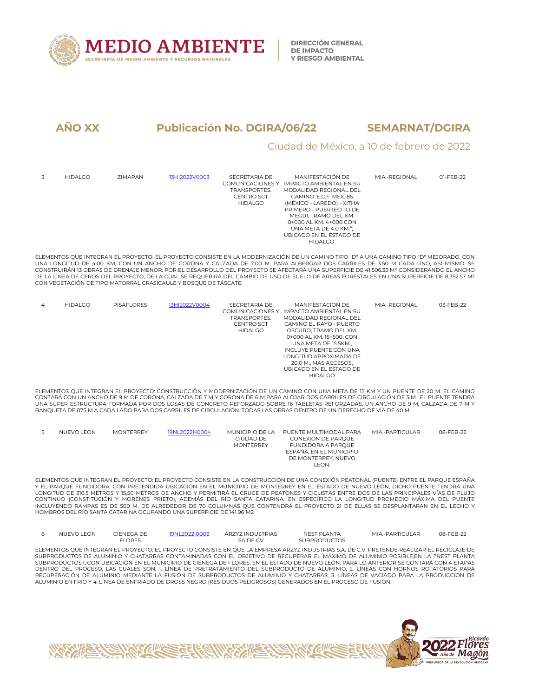

#### Ciudad de México, a 10 de febrero de 2022

| 3 | <b>HIDALGO</b> | <b>7IMAPAN</b> | 13HI2022V0003 | SECRETARIA DE<br><b>COMUNICACIONES Y</b><br>TRANSPORTES.<br><b>CENTRO SCT</b><br><b>HIDALGO</b> | MANIFESTACIÓN DE<br>IMPACTO AMBIENTAL EN SU<br>MODALIDAD REGIONAL DEL<br>CAMINO: F.C.F. MFX. 85<br>(MÉXICO - LAREDO) - XITHA<br>PRIMERO - PUERTECITO DE<br>MEGÜI, TRAMO DEL KM.<br>0+000 AL KM, 4+000 CON<br>UNA META DE 4.0 KM.",<br>UBICADO EN EL ESTADO DE<br>HIDALGO. | MIA.-REGIONAL | 01-FEB-22 |
|---|----------------|----------------|---------------|-------------------------------------------------------------------------------------------------|---------------------------------------------------------------------------------------------------------------------------------------------------------------------------------------------------------------------------------------------------------------------------|---------------|-----------|
|   |                |                |               |                                                                                                 |                                                                                                                                                                                                                                                                           |               |           |

ELEMENTOS QUE INTEGRAN EL PROYECTO: EL PROYECTO CONSISTE EN LA MODERNIZACIÓN DE UN CAMINO TIPO "D" A UNA CAMINO TIPO "D" MEJORADO, CON<br>UNA LONGITUD DE 4.00 KM, CON UN ANCHO DE CORONA Y CALZADA DE 7.00 M, PARA ALBERGAR DOS CONSTRUIRÁN 13 OBRAS DE DRENAJE MENOR. POR EL DESARROLLO DEL PROYECTO SE AFECTARÁ UNA SUPERFICIE DE 41,506.33 M² CONSIDERANDO EL ANCHO DE LA LÍNEA DE CEROS DEL PROYECTO, DE LA CUAL SE REQUERIRÁ DEL CAMBIO DE USO DE SUELO DE ÁREAS FORESTALES EN UNA SUPERFICIE DE 8,352.57 M² CON VEGETACIÓN DE TIPO MATORRAL CRASICAULE Y BOSQUE DE TÁSCATE.

| 4 | <b>HIDALGO</b> | <b>PISAFLORES</b> | 13HI2022V0004 | SECRETARIA DE<br>COMUNICACIONES Y | MANIFESTACION DE<br>IMPACTO AMBIENTAL EN SU | MIA.-REGIONAL | 03-FEB-22 |  |
|---|----------------|-------------------|---------------|-----------------------------------|---------------------------------------------|---------------|-----------|--|
|   |                |                   |               |                                   |                                             |               |           |  |
|   |                |                   |               | TRANSPORTES.                      | MODALIDAD REGIONAL DEL                      |               |           |  |
|   |                |                   |               | <b>CENTRO SCT</b>                 | CAMINO EL RAYO - PUERTO                     |               |           |  |
|   |                |                   |               | <b>HIDALGO</b>                    | OSCURO. TRAMO DEL KM.                       |               |           |  |
|   |                |                   |               |                                   | 0+000 AL KM. 15+500, CON                    |               |           |  |
|   |                |                   |               |                                   | UNA META DE 15.5KM                          |               |           |  |
|   |                |                   |               |                                   | INCLUYE PUENTE CON UNA                      |               |           |  |
|   |                |                   |               |                                   | LONGITUD APROXIMADA DE                      |               |           |  |
|   |                |                   |               |                                   | 20.0 M., MAS ACCESOS.                       |               |           |  |
|   |                |                   |               |                                   | UBICADO EN EL ESTADO DE                     |               |           |  |
|   |                |                   |               |                                   | <b>HIDALGO</b>                              |               |           |  |
|   |                |                   |               |                                   |                                             |               |           |  |

ELEMENTOS QUE INTEGRAN EL PROYECTO: CONSTRUCCIÓN Y MODERNIZACIÓN DE UN CAMINO CON UNA META DE 15 KM Y UN PUENTE DE 20 M. EL CAMINO<br>CONTARÁ CON UN ANCHO DE 9 M DE CORONA, CALZADA DE 7 M Y CORONA DE 6 M PARA ALOJAR DOS CARRI UNA SÚPER ESTRUCTURA FORMADA POR DOS LOSAS DE CONCRETO REFORZADO SOBRE 16 TABLETAS REFORZADAS, UN ANCHO DE 9 M, CALZADA DE 7 M Y BANQUETA DE 075 M A CADA LADO PARA DOS CARRILES DE CIRCULACIÓN. TODAS LAS OBRAS DENTRO DE UN DERECHO DE VÍA DE 40 M.

| NUEVO LEON | <b>MONTERREY</b> | 19NL2022H0004 | MUNICIPIO DE LA  | PUENTE MULTIMODAL PARA  | MIA.-PARTICUI AR | 08-FFB-22 |
|------------|------------------|---------------|------------------|-------------------------|------------------|-----------|
|            |                  |               | CIUDAD DE        | CONEXION DE PAROUE      |                  |           |
|            |                  |               | <b>MONTERREY</b> | FUNDIDORA A PAROUE      |                  |           |
|            |                  |               |                  | ESPAÑA. EN EL MUNICIPIO |                  |           |
|            |                  |               |                  | DE MONTERREY, NUEVO     |                  |           |
|            |                  |               |                  | LEON.                   |                  |           |

ELEMENTOS QUE INTEGRAN EL PROYECTO: EL PROYECTO CONSISTE EN LA CONSTRUCCIÓN DE UNA CONEXIÓN PEATONAL (PUENTE) ENTRE ELPARQUE ESPAÑA Y EL PARQUE FUNDIDORA, CON PRETENDIDA UBICACIÓN EN EL MUNICIPIO DE MONTERREY EN EL ESTADO DE NUEVO LEÓN, DICHO PUENTE TENDRÁ UNA LONGITUD DE 316.5 METROS Y 15.50 METROS DE ANCHO Y PERMITIRÁ EL CRUCE DE PEATONES Y CICLISTAS ENTRE DOS DE LAS PRINCIPALES VÍAS DE FLUJO CONTINUO (CONSTITUCIÓN Y MORENES PRIETO), ADEMÁS DEL RÍO SANTA CATARINA. EN ESPECÍFICO LA LONGITUD PROMEDIO MÁXIMA DEL PUENTE INCLUYENDO RAMPAS ES DE 500 M.DE ALREDEDOR DE 70 COLUMNAS QUE CONTENDRÁ EL PROYECTO 21 DEELLAS SE DESPLANTARAN EN EL LECHO Y HOMBROS DEL RÍO SANTA CATARINA OCUPANDO UNA SUPERFICIE DE 141.96 M2.

| <b>NUEVO LEON</b> | CIENEGA DE<br>FLORES. | 19NL2022I0003 | ARZYZ INDUSTRIAS<br>SA DE CV                                                                                                               | NEST PLANTA<br><b>SUBPRODUCTOS</b> | MIA.-PARTICUI AR | 08-FFB-22 |
|-------------------|-----------------------|---------------|--------------------------------------------------------------------------------------------------------------------------------------------|------------------------------------|------------------|-----------|
|                   |                       |               | ELEMENTOS OUE INTEGRAN EL PROYECTO: EL PROYECTO CONSISTE EN OUE LA EMPRESA ARZYZ INDUSTRIAS S.A. DE C.V. PRETENDE REALIZAR EL RECICLAJE DE |                                    |                  |           |
|                   |                       |               | SUBPRODUCTOS DE ALUMINIO Y CHATARRAS CONTAMINADAS CON EL OBJETIVO DE RECUPERAR EL MÁXIMO DE ALUMINIO POSIBLE.EN LA ?NEST PLANTA            |                                    |                  |           |
|                   |                       |               | SUBPRODUCTOS?. CON UBICACIÓN EN EL MUNICIPIO DE CIÉNEGA DE FLORES. EN EL ESTADO DE NUEVO LEÓN, PARA LO ANTERIOR SE CONTARÁ CON 4 ETAPAS    |                                    |                  |           |

SUBPRODUCTOS?, CON UBICACIÓN EN EL MUNICIPIO DE CIÉNEGA DE FLORES, EN EL ESTADO DE NUEVO LEÓN. PARA LO ANTERIOR SE CONTARÁ CON 4 ETAPAS<br>DENTRO DEL PROCESO, LAS CUALES SON; 1. LÍNEA DE PRETRATAMIENTO DEL SUBPRODUCTO DE ALUM RECUPERACIÓN DE ALUMINIO MEDIANTE LA FUSIÓN DE SUBPRODUCTOS DE ALUMINIO Y CHATARRAS, 3. LÍNEAS DE VACIADO PARA LA PRODUCCIÓN DE ALUMINIO EN FRÍO Y 4. LÍNEA DE ENFRIADO DE DROSS NEGRO (RESIDUOS PELIGROSOS) GENERADOS EN EL PROCESO DE FUSIÓN.

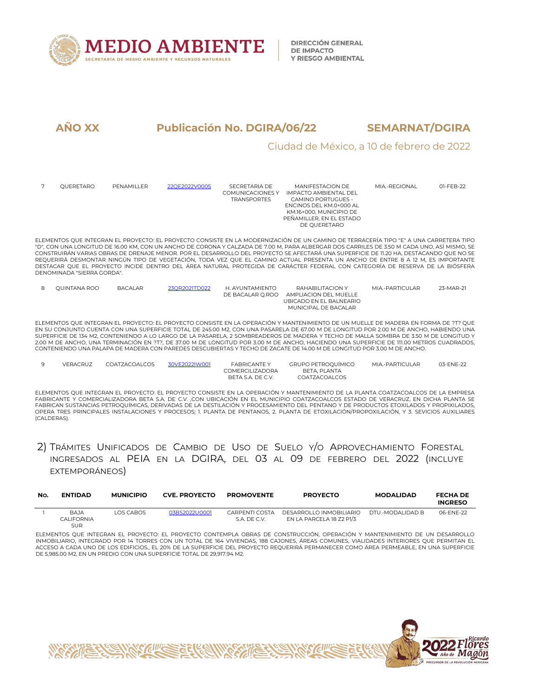

#### Ciudad de México, a 10 de febrero de 2022

|   | OUERETARO                  | PENAMILLER     | 22OE2022V0005 | SECRETARIA DE<br>COMUNICACIONES Y<br><b>TRANSPORTES</b>    | MANIFFSTACION DF<br>IMPACTO AMBIFNTAL DEL<br>CAMINO PORTUGUES -<br>ENCINOS DEL KM.0+000 AL<br>KM.16+000. MUNICIPIO DE<br>PEÑAMILLER. EN EL ESTADO<br>DE OUERETARO                                                                                                                                                                                                                                                                                                                                                                                                                                                                                                                                  | MIA.-REGIONAL     | 01-FFB-22 |
|---|----------------------------|----------------|---------------|------------------------------------------------------------|----------------------------------------------------------------------------------------------------------------------------------------------------------------------------------------------------------------------------------------------------------------------------------------------------------------------------------------------------------------------------------------------------------------------------------------------------------------------------------------------------------------------------------------------------------------------------------------------------------------------------------------------------------------------------------------------------|-------------------|-----------|
|   | DENOMINADA "SIERRA GORDA". |                |               |                                                            | ELEMENTOS QUE INTEGRAN EL PROYECTO; EL PROYECTO CONSISTE EN LA MODERNIZACIÓN DE UN CAMINO DE TERRACERÍA TIPO "E" A UNA CARRETERA TIPO<br>"D", CON UNA LONGITUD DE 16.00 KM, CON UN ANCHO DE CORONA Y CALZADA DE 7.00 M, PARA ALBERGAR DOS CARRILES DE 3.50 M CADA UNO, ASÍ MISMO, SE<br>CONSTRUIRÁN VARIAS OBRAS DE DRENAJE MENOR, POR EL DESARROLLO DEL PROYECTO SE AFECTARÁ UNA SUPERFICIE DE 11.20 HA, DESTACANDO OUE NO SE<br>REQUERIRÁ DESMONTAR NINGÚN TIPO DE VEGETACIÓN, TODA VEZ QUE EL CAMINO ACTUAL PRESENTA UN ANCHO DE ENTRE 8 A 12 M, ES IMPORTANTE<br>DESTACAR OUE EL PROYECTO INCIDE DENTRO DEL ÁREA NATURAL PROTEGIDA DE CARÁCTER FEDERAL CON CATEGORÍA DE RESERVA DE LA BIÓSFERA |                   |           |
| 8 | OUINTANA ROO               | <b>BACALAR</b> | 23QR2021TD022 | H. AYUNTAMIENTO<br>DE BACALAR O.ROO                        | RAHABILITACION Y<br>AMPHACION DEL MUELLE<br>UBICADO EN EL BALNEARIO<br>MUNICIPAL DE BACALAR                                                                                                                                                                                                                                                                                                                                                                                                                                                                                                                                                                                                        | MIA - PARTICUI AR | 23-MAR-21 |
|   |                            |                |               |                                                            | ELEMENTOS QUE INTEGRAN EL PROYECTO: EL PROYECTO CONSISTE EN LA OPERACIÓN Y MANTENIMIENTO DE UN MUELLE DE MADERA EN FORMA DE ?T? QUE<br>EN SU CONJUNTO CUENTA CON UNA SUPERFICIE TOTAL DE 245.00 M2, CON UNA PASARELA DE 67.00 M DE LONGITUD POR 2.00 M DE ANCHO, HABIENDO UNA<br>SUPERFICIE DE 134 M2, CONTENIENDO A LO LARGO DE LA PASARELA, 2 SOMBREADEROS DE MADERA Y TECHO DE MALLA SOMBRA DE 3.50 M DE LONGITUD Y<br>2.00 M DE ANCHO, UNA TERMINACIÓN EN ?T?, DE 37.00 M DE LONGITUD POR 3.00 M DE ANCHO, HACIENDO UNA SUPERFICIE DE 111.00 METROS CUADRADOS,<br>CONTENIENDO UNA PALAPA DE MADERA CON PAREDES DESCUBIERTAS Y TECHO DE ZACATE DE 14.00 M DE LONGITUD POR 3.00 M DE ANCHO.      |                   |           |
| 9 | VERACRUZ                   | COATZACOALCOS  | 30VE2022IW001 | <b>FABRICANTEY</b><br>COMERCILIZADORA<br>BFTA S.A. DF C.V. | <b>GRUPO PETROOUÍMICO</b><br>BETA, PLANTA<br>COATZACOALCOS                                                                                                                                                                                                                                                                                                                                                                                                                                                                                                                                                                                                                                         | MIA.-PARTICUI AR  | 03-ENE-22 |

ELEMENTOS QUE INTEGRAN EL PROYECTO: EL PROYECTO CONSISTE EN LA OPERACIÓN Y MANTENIMIENTO DE LA PLANTA COATZACOALCOS DE LA EMPRESA FABRICANTE Y COMERCIALIZADORA BETA S.A. DE C.V. ,CON UBICACIÓN EN EL MUNICIPIO COATZACOALCOS ESTADO DE VERACRUZ, EN DICHA PLANTA SE<br>FABRICAN SUSTANCIAS PETROQUÍMICAS, DERIVADAS DE LA DESTILACIÓN Y PROCESAMIENTO DEL PENTANO OPERA TRES PRINCIPALES INSTALACIONES Y PROCESOS; 1. PLANTA DE PENTANOS, 2.PLANTA DE ETOXILACIÓN/PROPOXILACIÓN, Y 3. SEVICIOS AUXILIARES (CALDERAS).

### 2) TRÁMITES UNIFICADOS DE CAMBIO DE USO DE SUELO Y/O APROVECHAMIENTO FORESTAL INGRESADOS AL PEIA EN LA DGIRA, DEL 03 AL 09 DE FEBRERO DEL 2022 (INCLUYE EXTEMPORÁNEOS)

| No. | <b>ENTIDAD</b>                          | <b>MUNICIPIO</b> | <b>CVE. PROYECTO</b> | <b>PROMOVENTE</b>              | <b>PROYECTO</b>                                     | <b>MODALIDAD</b>  | <b>FECHA DE</b><br><b>INGRESO</b> |
|-----|-----------------------------------------|------------------|----------------------|--------------------------------|-----------------------------------------------------|-------------------|-----------------------------------|
|     | <b>BAJA</b><br>CALIFORNIA<br><b>SUR</b> | LOS CABOS        | 03BS2022U0001        | CARPENTI COSTA<br>S.A. DF C.V. | DESARROLLO INMOBILIARIO<br>EN LA PARCELA 18 Z2 P1/3 | DTU.-MODAI IDAD B | 06-FNF-22                         |

ELEMENTOS QUE INTEGRAN EL PROYECTO: EL PROYECTO CONTEMPLA OBRAS DE CONSTRUCCIÓN, OPERACIÓN Y MANTENIMIENTO DE UN DESARROLLO INMOBILIARIO, INTEGRADO POR 14 TORRES CON UN TOTAL DE 164 VIVIENDAS, 188 CAJONES, ÀREAS COMUNES, VIALIDADES INTERIORES QUE PERMITAN EL<br>ACCESO A CADA UNO DE LOS EDIFICIOS., EL 20% DE LA SUPERFICIE DEL PROYECTO REQUERIRÁ PER DE 5,985.00 M2, EN UN PREDIO CON UNA SUPERFICIE TOTAL DE 29,917.94 M2.

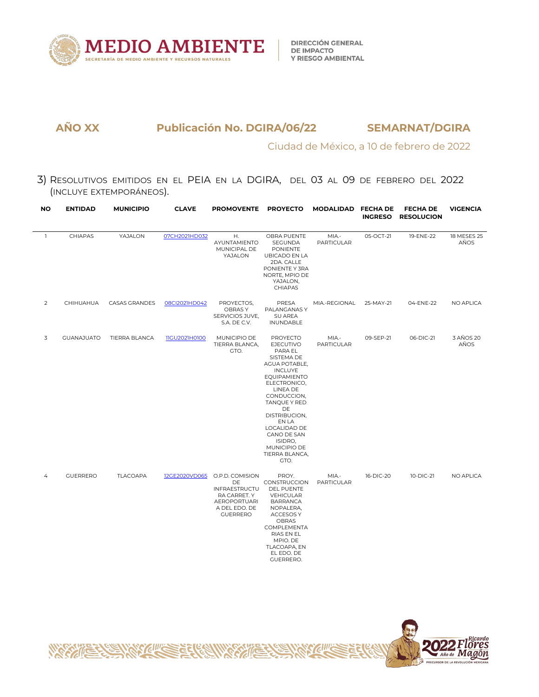

Ciudad de México, a 10 de febrero de 2022

3) RESOLUTIVOS EMITIDOS EN EL PEIA EN LA DGIRA, DEL 03 AL 09 DE FEBRERO DEL 2022 (INCLUYE EXTEMPORÁNEOS).

| NO             | <b>ENTIDAD</b>    | <b>MUNICIPIO</b>     | <b>CLAVE</b>         | PROMOVENTE PROYECTO                                                                                               |                                                                                                                                                                                                                                                                                                       | MODALIDAD                  | <b>FECHA DE</b><br><b>INGRESO</b> | <b>FECHA DE</b><br><b>RESOLUCION</b> | <b>VIGENCIA</b>     |
|----------------|-------------------|----------------------|----------------------|-------------------------------------------------------------------------------------------------------------------|-------------------------------------------------------------------------------------------------------------------------------------------------------------------------------------------------------------------------------------------------------------------------------------------------------|----------------------------|-----------------------------------|--------------------------------------|---------------------|
| $\mathbf{1}$   | CHIAPAS           | YAJALON              | 07CH2021HD032        | Η.<br>AYUNTAMIENTO<br>MUNICIPAL DE<br>YAJALON                                                                     | OBRA PUENTE<br>SEGUNDA<br><b>PONIENTE</b><br>UBICADO EN LA<br>2DA. CALLE<br>PONIENTE Y 3RA<br>NORTE, MPIO DE<br>YAJALON,<br><b>CHIAPAS</b>                                                                                                                                                            | MIA -<br><b>PARTICULAR</b> | 05-OCT-21                         | 19-ENE-22                            | 18 MESES 25<br>AÑOS |
| $\overline{2}$ | CHIHUAHUA         | CASAS GRANDES        | 08Cl2021HD042        | PROYECTOS,<br>OBRAS Y<br>SERVICIOS JUVE,<br>S.A. DE C.V.                                                          | PRESA<br>PALANGANAS Y<br>SU AREA<br>INUNDABLE                                                                                                                                                                                                                                                         | MIA.-REGIONAL              | 25-MAY-21                         | 04-ENE-22                            | NO APLICA           |
| 3              | <b>GUANAJUATO</b> | <b>TIERRA BLANCA</b> | <b>IIGU2021H0100</b> | MUNICIPIO DE<br>TIERRA BLANCA,<br>GTO.                                                                            | <b>PROYECTO</b><br><b>EJECUTIVO</b><br>PARA EL<br>SISTEMA DE<br>AGUA POTABLE,<br><b>INCLUYE</b><br><b>EQUIPAMIENTO</b><br>ELECTRONICO,<br>LINEA DE<br>CONDUCCION,<br>TANQUE Y RED<br>DE<br>DISTRIBUCION,<br>EN LA<br>LOCALIDAD DE<br>CANO DE SAN<br>ISIDRO,<br>MUNICIPIO DE<br>TIERRA BLANCA,<br>GTO. | MIA -<br><b>PARTICULAR</b> | 09-SEP-21                         | 06-DIC-21                            | 3 AÑOS 20<br>AÑOS   |
| 4              | <b>GUERRERO</b>   | <b>TLACOAPA</b>      | 12GE2020VD065        | O.P.D. COMISION<br>DE<br>INFRAESTRUCTU<br>RA CARRET. Y<br><b>AEROPORTUARI</b><br>A DEL EDO. DE<br><b>GUERRERO</b> | PROY.<br>CONSTRUCCION<br>DEL PUENTE<br>VEHICULAR<br><b>BARRANCA</b><br>NOPALERA,<br><b>ACCESOS Y</b><br>OBRAS<br>COMPLEMENTA<br>RIAS EN EL<br>MPIO. DE<br>TLACOAPA, EN<br>EL EDO. DE<br>GUERRERO.                                                                                                     | MIA -<br><b>PARTICULAR</b> | 16-DIC-20                         | 10-DIC-21                            | NO APLICA           |

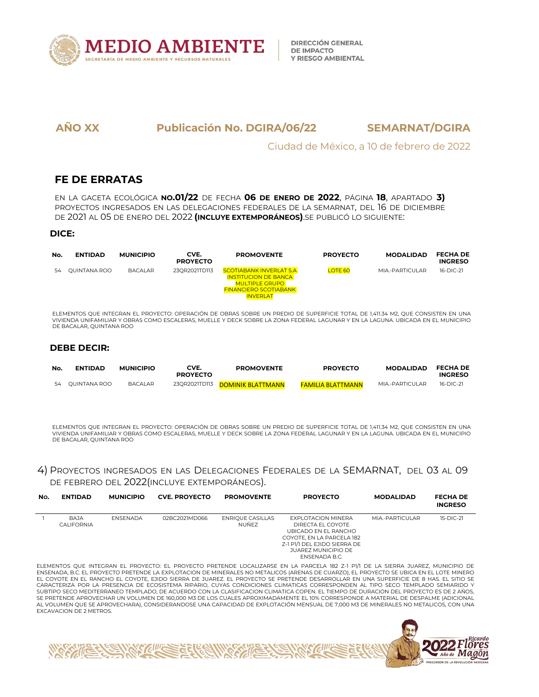

Ciudad de México, a 10 de febrero de 2022

## **FE DE ERRATAS**

EN LA GACETA ECOLÓGICA **NO.01/22** DE FECHA **06 DE ENERO DE 2022**, PÁGINA **18**, APARTADO **3)** PROYECTOS INGRESADOS EN LAS DELEGACIONES FEDERALES DE LA SEMARNAT, DEL 16 DE DICIEMBRE DE 2021 AL 05 DE ENERO DEL 2022 **(INCLUYE EXTEMPORÁNEOS)**.SE PUBLICÓ LO SIGUIENTE:

#### **DICE:**

| No. | <b>ENTIDAD</b>  | <b>MUNICIPIO</b> | CVE.<br><b>PROYECTO</b> | <b>PROMOVENTE</b>                                                                                                                         | <b>PROYECTO</b> | <b>MODALIDAD</b> | <b>FECHA DE</b><br><b>INGRESO</b> |  |
|-----|-----------------|------------------|-------------------------|-------------------------------------------------------------------------------------------------------------------------------------------|-----------------|------------------|-----------------------------------|--|
|     | 54 OUINTANA ROO | <b>BACALAR</b>   | 23QR2021TD113           | <b>SCOTIABANK INVERLAT S.A</b><br><b>INSTITUCION DE BANCA</b><br><b>MULTIPLE GRUPO</b><br><b>FINANCIERO SCOTIABANK</b><br><b>INVERLAT</b> | <b>LOTE 60</b>  | MIA.-PARTICULAR  | 16-DIC-21                         |  |
|     |                 |                  |                         | ELEMENTOS QUE INTEGRAN EL RROVECTO, ORERACIÓN DE ORDAS CORRELINI RREDIO DE SUREREIGIE TOTAL DE 1711 77 MA QUE CONSISTEN EN UNA            |                 |                  |                                   |  |

ELEMENTOS QUE INTEGRAN EL PROYECTO: OPERACIÓN DE OBRAS SOBRE UN PREDIO DE SUPERFICIE TOTAL DE 1,411.34 M2, QUE CONSISTEN EN UNA<br>VIVIENDA UNIFAMILIAR Y OBRAS COMO ESCALERAS, MUELLE Y DECK SOBRE LA ZONA FEDERAL LAGUNAR Y EN DE BACALAR, QUINTANA ROO

#### **DEBE DECIR:**

| No. | <b>ENTIDAD</b>  | <b>MUNICIPIO</b> | CVE.<br><b>PROYECTO</b> | <b>PROMOVENTE</b>               | <b>PROYECTO</b>          | <b>MODALIDAD</b> | <b>FECHA DE</b><br><b>INGRESO</b> |  |
|-----|-----------------|------------------|-------------------------|---------------------------------|--------------------------|------------------|-----------------------------------|--|
|     | 54 QUINTANA ROO | <b>BACALAR</b>   |                         | 23QR2021TD113 DOMINIK BLATTMANN | <b>FAMILIA BLATTMANN</b> | MIA.-PARTICULAR  | 16-DIC-21                         |  |

ELEMENTOS QUE INTEGRAN EL PROYECTO: OPERACIÓN DE OBRAS SOBRE UN PREDIO DE SUPERFICIE TOTAL DE 1,411.34 M2, QUE CONSISTEN EN UNA VIVIENDA UNIFAMILIAR Y OBRAS COMO ESCALERAS, MUELLE Y DECK SOBRE LA ZONA FEDERAL LAGUNAR Y EN LA LAGUNA. UBICADA EN EL MUNICIPIO DE BACALAR, QUINTANA ROO

#### 4) PROYECTOS INGRESADOS EN LAS DELEGACIONES FEDERALES DE LA SEMARNAT, DEL 03 AL 09 DE FEBRERO DEL 2022(INCLUYE EXTEMPORÁNEOS).

| No. | <b>ENTIDAD</b>            | <b>MUNICIPIO</b> | <b>CVE. PROYECTO</b> | <b>PROMOVENTE</b>         | <b>PROYECTO</b>                                                                                                                                                                    | <b>MODALIDAD</b> | <b>FECHA DE</b><br><b>INGRESO</b> |
|-----|---------------------------|------------------|----------------------|---------------------------|------------------------------------------------------------------------------------------------------------------------------------------------------------------------------------|------------------|-----------------------------------|
|     | BAJA<br><b>CALIFORNIA</b> | ENSENADA         | 02BC2021MD066        | ENRIQUE CASILLAS<br>NUÑEZ | <b>EXPLOTACION MINERA</b><br>DIRECTA EL COYOTE<br>UBICADO EN EL RANCHO<br>COYOTE, EN LA PARCELA 182<br>Z-1 P1/1 DEL EJIDO SIERRA DE<br><b>JUAREZ MUNICIPIO DE</b><br>ENSENADA B.C. | MIA.-PARTICULAR  | 15-DIC-21                         |

ELEMENTOS QUE INTEGRAN EL PROYECTO: EL PROYECTO PRETENDE LOCALIZARSE EN LA PARCELA 182 Z-1 P1/1 DE LA SIERRA JUAREZ, MUNICIPIO DE<br>ENSENADA, B.C. EL PROYECTO PRETENDE LA EXPLOTACION DE MINERALES NO METALICOS (ARENAS DE CUAR EL COYOTE EN EL RANCHO EL COYOTE, EJIDO SIERRA DE JUAREZ. EL PROYECTO SE PRETENDE DESARROLLAR EN UNA SUPERFICIE DE 8 HAS. EL SITIO SE CARACTERIZA POR LA PRESENCIA DE ECOSISTEMA RIPARIO, CUYAS CONDICIONES CLIMATICAS CORRESPONDEN AL TIPO SECO TEMPLADO SEMIARIDO Y SUBTIPO SECO MEDITERRANEO TEMPLADO, DE ACUERDO CON LA CLASIFICACION CLIMATICA COPEN. EL TIEMPO DE DURACION DEL PROYECTO ES DE 2 AÑOS,<br>SE PRETENDE APROVECHAR UN VOLUMEN DE 160,000 M3 DE LOS CUALES APROXIMADAMENTE EL 10% COR AL VOLUMEN QUE SE APROVECHARA), CONSIDERANDOSE UNA CAPACIDAD DE EXPLOTACIÓN MENSUAL DE 7,000 M3 DE MINERALES NO METALICOS, CON UNA EXCAVACION DE 2 METROS.

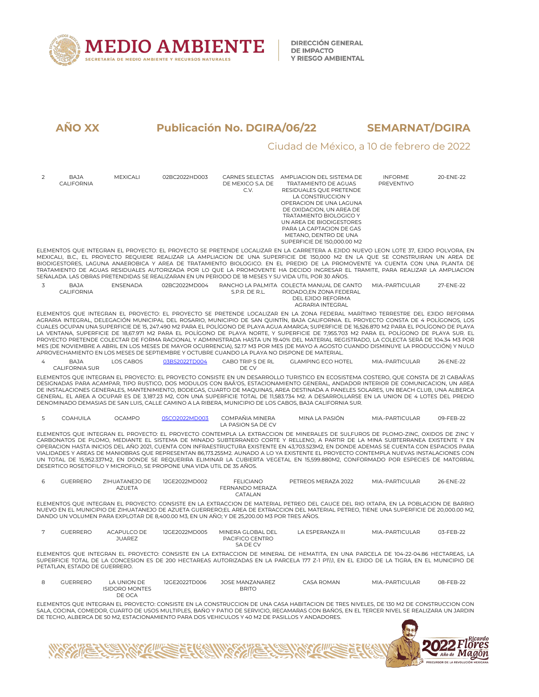

KIII

# **AÑO XX Publicación No. DGIRA/06/22 SEMARNAT/DGIRA**

# Ciudad de México, a 10 de febrero de 2022

urdo<br>'CS

| 2 | <b>BAJA</b><br>CALIFORNIA     | <b>MEXICALI</b>                                | 02BC2022HD003                                                          | DE MEXICO S.A. DE<br>C.V.                                                                  | CARNES SELECTAS AMPLIACION DEL SISTEMA DE<br>TRATAMIENTO DE AGUAS<br>RESIDUALES QUE PRETENDE<br>LA CONSTRUCCION Y<br>OPERACION DE UNA LAGUNA<br>DE OXIDACION, UN AREA DE<br><b>TRATAMIENTO BIOLOGICO Y</b><br>UN AREA DE BIODIGESTORES<br>PARA LA CAPTACION DE GAS<br>METANO, DENTRO DE UNA<br>SUPERFICIE DE 150,000.00 M2                                                                                                                                                                                                                                                                                                                                                                                                                                                                                                                                                                                                                         | <b>INFORME</b><br><b>PREVENTIVO</b> | 20-ENE-22 |  |
|---|-------------------------------|------------------------------------------------|------------------------------------------------------------------------|--------------------------------------------------------------------------------------------|----------------------------------------------------------------------------------------------------------------------------------------------------------------------------------------------------------------------------------------------------------------------------------------------------------------------------------------------------------------------------------------------------------------------------------------------------------------------------------------------------------------------------------------------------------------------------------------------------------------------------------------------------------------------------------------------------------------------------------------------------------------------------------------------------------------------------------------------------------------------------------------------------------------------------------------------------|-------------------------------------|-----------|--|
|   |                               |                                                |                                                                        |                                                                                            | ELEMENTOS QUE INTEGRAN EL PROYECTO: EL PROYECTO SE PRETENDE LOCALIZAR EN LA CARRETERA A EJIDO NUEVO LEON LOTE 37, EJIDO POLVORA, EN<br>MEXICALI, B.C., EL PROYECTO REQUIERE REALIZAR LA AMPLIACION DE UNA SUPERFICIE DE 150,000 M2 EN LA QUE SE CONSTRUIRAN UN AREA DE<br>BIODIGESTORES, LAGUNA ANAEROBICA Y AREA DE TRATAMIENTO BIOLOGICO. EN EL PREDIO DE LA PROMOVENTE YA CUENTA CON UNA PLANTA DE<br>TRATAMIENTO DE AGUAS RESIDUALES AUTORIZADA POR LO QUE LA PROMOVENTE HA DECIDO INGRESAR EL TRAMITE, PARA REALIZAR LA AMPLIACION<br>SEÑALADA. LAS OBRAS PRETENDIDAS SE REALIZARAN EN UN PERIODO DE 18 MESES Y SU VIDA UTIL POR 30 AÑOS.                                                                                                                                                                                                                                                                                                     |                                     |           |  |
| 3 | <b>BAJA</b><br>CALIFORNIA     | <b>ENSENADA</b>                                | 02BC2022MD004                                                          | S.P.R. DE R.L.                                                                             | RANCHO LA PALMITA COLECTA MANUAL DE CANTO<br>RODADO.EN ZONA FEDERAL<br>DEL EJIDO REFORMA<br>AGRARIA INTEGRAL                                                                                                                                                                                                                                                                                                                                                                                                                                                                                                                                                                                                                                                                                                                                                                                                                                       | MIA.-PARTICUI AR                    | 27-FNF-22 |  |
|   |                               |                                                |                                                                        |                                                                                            | ELEMENTOS QUE INTEGRAN EL PROYECTO: EL PROYECTO SE PRETENDE LOCALIZAR EN LA ZONA FEDERAL MARÍTIMO TERRESTRE DEL EJIDO REFORMA<br>AGRARIA INTEGRAL, DELEGACIÓN MUNICIPAL DEL ROSARIO, MUNICIPIO DE SAN QUINTÍN, BAJA CALIFORNIA. EL PROYECTO CONSTA DE 4 POLÍGONOS, LOS<br>CUALES OCUPAN UNA SUPERFICIE DE 15, 247.490 M2 PARA EL POLÍGONO DE PLAYA AGUA AMARGA; SUPERFICIE DE 16,526.870 M2 PARA EL POLÍGONO DE PLAYA<br>LA VENTANA, SUPERFICIE DE 18,67.971 M2 PARA EL POLÍGONO DE PLAYA NORTE, Y SUPERFICIE DE 7,955.703 M2 PARA EL POLÍGONO DE PLAYA SUR. EL<br>PROYECTO PRETENDE COLECTAR DE FORMA RACIONAL Y ADMINISTRADA HASTA UN 19.40% DEL MATERIAL REGISTRADO, LA COLECTA SERÁ DE 104.34 M3 POR<br>MES (DE NOVIEMBRE A ABRIL EN LOS MESES DE MAYOR OCURRENCIA), 52.17 M3 POR MES (DE MAYO A AGOSTO CUANDO DISMINUYE LA PRODUCCIÓN) Y NULO<br>APROVECHAMIENTO EN LOS MESES DE SEPTIEMBRE Y OCTUBRE CUANDO LA PLAYA NO DISPONE DE MATERIAL. |                                     |           |  |
| 4 | <b>BAJA</b><br>CALIFORNIA SUR | LOS CABOS                                      | 03BS2022TD004                                                          | CABO TRIP S DE RL<br>DE CV                                                                 | <b>GLAMPING ECO HOTEL</b>                                                                                                                                                                                                                                                                                                                                                                                                                                                                                                                                                                                                                                                                                                                                                                                                                                                                                                                          | MIA.-PARTICULAR                     | 26-ENE-22 |  |
|   |                               |                                                |                                                                        |                                                                                            | ELEMENTOS QUE INTEGRAN EL PROYECTO: EL PROYECTO CONSISTE EN UN DESARROLLO TURISTICO EN ECOSISTEMA COSTERO, QUE CONSTA DE 21 CABAÃ'AS<br>DESIGNADAS PARA ACAMPAR, TIPO RUSTICO, DOS MODULOS CON BAÃ'OS, ESTACIONAMIENTO GENERAL, ANDADOR INTERIOR DE COMUNICACION, UN AREA<br>DE INSTALACIONES GENERALES, MANTENIMIENTO, BODEGAS, CUARTO DE MAQUINAS, AREA DESTINADA A PANELES SOLARES, UN BEACH CLUB, UNA ALBERCA<br>GENERAL. EL AREA A OCUPAR ES DE 3,187.23 M2, CON UNA SUPERFICIE TOTAL DE 11,583.734 M2. A DESARROLLARSE EN LA UNION DE 4 LOTES DEL PREDIO<br>DENOMINADO DEMASIAS DE SAN LUIS, CALLE CAMINO A LA RIBERA, MUNICIPIO DE LOS CABOS, BAJA CALIFORNIA SUR.                                                                                                                                                                                                                                                                          |                                     |           |  |
| 5 | COAHUILA                      | <b>OCAMPO</b>                                  | 05CO2022MD003                                                          | COMPAÑIA MINERA<br>LA PASION SA DE CV                                                      | MINA LA PASIÓN                                                                                                                                                                                                                                                                                                                                                                                                                                                                                                                                                                                                                                                                                                                                                                                                                                                                                                                                     | MIA.-PARTICULAR                     | 09-FEB-22 |  |
|   |                               |                                                | DESERTICO ROSETOFILO Y MICROFILO, SE PROPONE UNA VIDA UTIL DE 35 AÑOS. |                                                                                            | ELEMENTOS QUE INTEGRAN EL PROYECTO: EL PROYECTO CONTEMPLA LA EXTRACCION DE MINERALES DE SULFUROS DE PLOMO-ZINC, OXIDOS DE ZINC Y<br>CARBONATOS DE PLOMO, MEDIANTE EL SISTEMA DE MINADO SUBTERRANEO CORTE Y RELLENO, A PARTIR DE LA MINA SUBTERRANEA EXISTENTE Y EN<br>OPERACION HASTA INICIOS DEL AÑO 2021, CUENTA CON INFRAESTRUCTURA EXISTENTE EN 43,703.523M2, EN DONDE ADEMAS SE CUENTA CON ESPACIOS PARA<br>VIALIDADES Y AREAS DE MANIOBRAS QUE REPRESENTAN 86,173.255M2. AUNADO A LO YA EXISTENTE EL PROYECTO CONTEMPLA NUEVAS INSTALACIONES CON<br>UN TOTAL DE 15,952.337M2, EN DONDE SE REQUERIRA ELIMINAR LA CUBIERTA VEGETAL EN 15,599.880M2, CONFORMADO POR ESPECIES DE MATORRAL                                                                                                                                                                                                                                                        |                                     |           |  |
| 6 | <b>GUERRERO</b>               | ZIHUATANEJO DE<br><b>AZUETA</b>                | 12GE2022MD002                                                          | <b>FELICIANO</b><br>FERNANDO MERAZA<br>CATALAN                                             | PETREOS MERAZA 2022                                                                                                                                                                                                                                                                                                                                                                                                                                                                                                                                                                                                                                                                                                                                                                                                                                                                                                                                | MIA.-PARTICULAR                     | 26-ENE-22 |  |
|   |                               |                                                |                                                                        | DANDO UN VOLUMEN PARA EXPLOTAR DE 8.400.00 M3. EN UN AÑO: Y DE 25.200.00 M3 POR TRES AÑOS. | ELEMENTOS QUE INTEGRAN EL PROYECTO: CONSISTE EN LA EXTRACCION DE MATERIAL PETREO DEL CAUCE DEL RIO IXTAPA, EN LA POBLACION DE BARRIO<br>NUEVO EN EL MUNICIPIO DE ZIHUATANEJO DE AZUETA GUERRERO;EL AREA DE EXTRACCION DEL MATERIAL PETREO, TIENE UNA SUPERFICIE DE 20,000.00 M2,                                                                                                                                                                                                                                                                                                                                                                                                                                                                                                                                                                                                                                                                   |                                     |           |  |
| 7 | <b>GUERRERO</b>               | ACAPULCO DE<br><b>JUAREZ</b>                   | 12GE2022MD005                                                          | MINERA GLOBAL DEL<br>PACIFICO CENTRO<br>SA DE CV                                           | LA ESPERANZA III                                                                                                                                                                                                                                                                                                                                                                                                                                                                                                                                                                                                                                                                                                                                                                                                                                                                                                                                   | MIA.-PARTICULAR                     | 03-FEB-22 |  |
|   | PETATLAN, ESTADO DE GUERRERO. |                                                |                                                                        |                                                                                            | ELEMENTOS QUE INTEGRAN EL PROYECTO: CONSISTE EN LA EXTRACCION DE MINERAL DE HEMATITA, EN UNA PARCELA DE 104-22-04.86 HECTAREAS, LA<br>SUPERFICIE TOTAL DE LA CONCESION ES DE 200 HECTAREAS AUTORIZADAS EN LA PARCELA 177 Z-1 P1\\1, EN EL EJIDO DE LA TIGRA, EN EL MUNICIPIO DE                                                                                                                                                                                                                                                                                                                                                                                                                                                                                                                                                                                                                                                                    |                                     |           |  |
| 8 | <b>GUERRERO</b>               | LA UNION DE<br><b>ISIDORO MONTES</b><br>DE OCA | 12GE2022TD006                                                          | JOSE MANZANAREZ<br><b>BRITO</b>                                                            | <b>CASA ROMAN</b>                                                                                                                                                                                                                                                                                                                                                                                                                                                                                                                                                                                                                                                                                                                                                                                                                                                                                                                                  | MIA.-PARTICULAR                     | 08-FEB-22 |  |
|   |                               |                                                |                                                                        |                                                                                            | ELEMENTOS QUE INTEGRAN EL PROYECTO: CONSISTE EN LA CONSTRUCCION DE UNA CASA HABITACION DE TRES NIVELES, DE 130 M2 DE CONSTRUCCION CON<br>SALA, COCINA, COMEDOR, CUARTO DE USOS MULTIPLES, BAÑO Y PATIO DE SERVICIO, RECAMARAS CON BAÑOS, EN EL TERCER NIVEL SE REALIZARA UN JARDIN<br>DE TECHO, ALBERCA DE 50 M2, ESTACIONAMIENTO PARA DOS VEHICULOS Y 40 M2 DE PASILLOS Y ANDADORES.                                                                                                                                                                                                                                                                                                                                                                                                                                                                                                                                                              |                                     |           |  |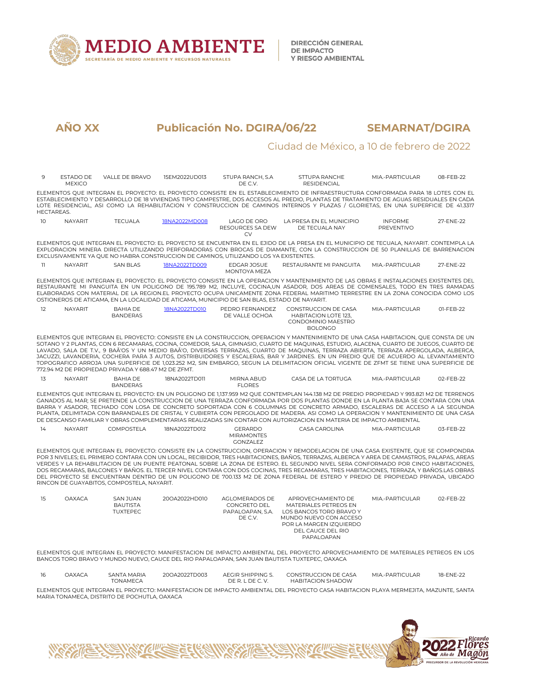

#### Ciudad de México, a 10 de febrero de 2022

| 9                 | ESTADO DE<br><b>MEXICO</b> | VALLE DE BRAVO                                        | 15EM2022UD013 | STUPA RANCH, S.A.<br>DE C.V.                                                                 | STTUPA RANCHE<br><b>RESIDENCIAL</b>                                                                                                                                                                                                                                                                                                                                                                                                                                                                                                                                                                                                                                                                        | MIA.-PARTICULAR              | 08-FEB-22 |  |
|-------------------|----------------------------|-------------------------------------------------------|---------------|----------------------------------------------------------------------------------------------|------------------------------------------------------------------------------------------------------------------------------------------------------------------------------------------------------------------------------------------------------------------------------------------------------------------------------------------------------------------------------------------------------------------------------------------------------------------------------------------------------------------------------------------------------------------------------------------------------------------------------------------------------------------------------------------------------------|------------------------------|-----------|--|
| <b>HECTAREAS.</b> |                            |                                                       |               |                                                                                              | ELEMENTOS QUE INTEGRAN EL PROYECTO: EL PROYECTO CONSISTE EN EL ESTABLECIMIENTO DE INFRAESTRUCTURA CONFORMADA PARA 18 LOTES CON EL<br>ESTABLECIMIENTO Y DESARROLLO DE 18 VIVIENDAS TIPO CAMPESTRE, DOS ACCESOS AL PREDIO, PLANTAS DE TRATAMIENTO DE AGUAS RESIDUALES EN CADA<br>LOTE RESIDENCIAL, ASI COMO LA REHABILITACION Y CONSTRUCCION DE CAMINOS INTERNOS Y PLAZAS / GLORIETAS, EN UNA SUPERFICIE DE 41.3317                                                                                                                                                                                                                                                                                          |                              |           |  |
| 10 <sup>°</sup>   | <b>NAYARIT</b>             | <b>TECUALA</b>                                        | 18NA2022MD008 | <b>LAGO DE ORO</b><br>RESOURCES SA DEW<br><b>CV</b>                                          | LA PRESA EN EL MUNICIPIO<br>DE TECUALA NAY                                                                                                                                                                                                                                                                                                                                                                                                                                                                                                                                                                                                                                                                 | <b>INFORME</b><br>PREVENTIVO | 27-FNF-22 |  |
|                   |                            |                                                       |               | EXCLUSIVAMENTE YA OUE NO HABRA CONSTRUCCION DE CAMINOS, UTILIZANDO LOS YA EXISTENTES.        | ELEMENTOS QUE INTEGRAN EL PROYECTO: EL PROYECTO SE ENCUENTRA EN EL EJIDO DE LA PRESA EN EL MUNICIPIO DE TECUALA, NAYARIT, CONTEMPLA LA<br>EXPLORACION MINERA DIRECTA UTILIZANDO PERFORADORAS CON BROCAS DE DIAMANTE, CON LA CONSTRUCCION DE 50 PLANILLAS DE BARRENACION                                                                                                                                                                                                                                                                                                                                                                                                                                    |                              |           |  |
| 11                | <b>NAYARIT</b>             | <b>SAN BLAS</b>                                       | 18NA2022TD009 | EDGAR JOSUE<br>MONTOYA MEZA                                                                  | RESTAURANTE MI PANGUITA                                                                                                                                                                                                                                                                                                                                                                                                                                                                                                                                                                                                                                                                                    | MIA - PARTICUI AR            | 27-ENE-22 |  |
|                   |                            |                                                       |               | OSTIONEROS DE ATICAMA, EN LA LOCALIDAD DE ATICAMA, MUNICIPIO DE SAN BLAS, ESTADO DE NAYARIT. | ELEMENTOS QUE INTEGRAN EL PROYECTO: EL PROYECTO CONSISTE EN LA OPERACION Y MANTENIMIENTO DE LAS OBRAS E INSTALACIONES EXISTENTES DEL<br>RESTAURANTE MI PANGUITA EN UN POLIGONO DE 195.789 M2. INCLUYE, COCINA.UN ASADOR, DOS AREAS DE COMENSALES, TODO EN TRES RAMADAS<br>ELABORADAS CON MATERIAL DE LA REGION.EL PROYECTO OCUPA UNICAMENTE ZONA FEDERAL MARITIMO TERRESTRE EN LA ZONA CONOCIDA COMO LOS                                                                                                                                                                                                                                                                                                   |                              |           |  |
| 12                | <b>NAYARIT</b>             | <b>BAHIA DE</b><br><b>BANDERAS</b>                    | 18NA2022TD010 | PEDRO FERNANDEZ<br>DE VALLE OCHOA                                                            | CONSTRUCCION DE CASA<br><b>HABITACION LOTE 123.</b><br>CONDOMINIO MAESTRO<br><b>BOLONGO</b>                                                                                                                                                                                                                                                                                                                                                                                                                                                                                                                                                                                                                | MIA.-PARTICULAR              | 01-FEB-22 |  |
|                   |                            | 772.94 M2 DE PROPIEDAD PRIVADA Y 688.47 M2 DE ZFMT.   |               |                                                                                              | ELEMENTOS QUE INTEGRAN EL PROYECTO: CONSISTE EN LA CONSTRUCCION, OPERACION Y MANTENIMIENTO DE UNA CASA HABITACION, QUE CONSTA DE UN<br>SOTANO Y 2 PLANTAS, CON 6 RECAMARAS, COCINA, COMEDOR, SALA, GIMNASIO, CUARTO DE MAQUINAS, ESTUDIO, ALACENA, CUARTO DE JUEGOS, CUARTO DE<br>LAVADO, SALA DE T.V., 9 BAÃ'OS Y UN MEDIO BAÃ'O, DIVERSAS TERRAZAS, CUARTO DE MAQUINAS, TERRAZA ABIERTA, TERRAZA APERGOLADA, ALBERCA,<br>JACUZZI, LAVANDERIA, COCHERA PARA 3 AUTOS, DISTRIBUIDORES Y ESCALERAS, BAR Y JARDINES, EN UN PREDIO OUE DE ACUERDO AL LEVANTAMIENTO<br>TOPOGRAFICO ARROJA UNA SUPERFICIE DE 1,023.252 M2, SIN EMBARGO, SEGUN LA DELIMITACION OFICIAL VIGENTE DE ZFMT SE TIENE UNA SUPERFICIE DE |                              |           |  |
| 13                | <b>NAYARIT</b>             | <b>BAHIA DE</b><br><b>BANDERAS</b>                    | 18NA2022TD011 | MIRNA ABUD<br><b>FLORES</b>                                                                  | CASA DE LA TORTUGA                                                                                                                                                                                                                                                                                                                                                                                                                                                                                                                                                                                                                                                                                         | MIA.-PARTICULAR              | 02-FEB-22 |  |
|                   |                            |                                                       |               |                                                                                              | ELEMENTOS QUE INTEGRAN EL PROYECTO: EN UN POLIGONO DE 1.137.959 M2 QUE CONTEMPLAN 144.138 M2 DE PREDIO PROPIEDAD Y 993.821 M2 DE TERRENOS<br>GANADOS AL MAR: SE PRETENDE LA CONSTRUCCION DE UNA TERRAZA CONFORMADA POR DOS PLANTAS DONDE EN LA PLANTA BAJA SE CONTARA CON UNA<br>BARRA Y ASADOR, TECHADO CON LOSA DE CONCRETO SOPORTADA CON 6 COLUMNAS DE CONCRETO ARMADO, ESCALERAS DE ACCESO A LA SEGUNDA<br>PLANTA, DELIMITADA CON BARANDALES DE CRISTAL Y CUBIERTA CON PERGOLADO DE MADERA. ASI COMO LA OPERACION Y MANTENIMIENTO DE UNA CASA<br>DE DESCANSO FAMILIAR Y OBRAS COMPLEMENTARIAS REALIZADAS SIN CONTAR CON AUTORIZACION EN MATERIA DE IMPACTO AMBIENTAL                                   |                              |           |  |
| 14                | <b>NAYARIT</b>             | <b>COMPOSTELA</b>                                     | 18NA2022TD012 | <b>GERARDO</b><br><b>MIRAMONTES</b><br><b>GONZALEZ</b>                                       | CASA CAROLINA                                                                                                                                                                                                                                                                                                                                                                                                                                                                                                                                                                                                                                                                                              | MIA.-PARTICULAR              | 03-FEB-22 |  |
|                   |                            | RINCON DE GUAYABITOS, COMPOSTELA, NAYARIT.            |               |                                                                                              | ELEMENTOS QUE INTEGRAN EL PROYECTO: CONSISTE EN LA CONSTRUCCION, OPERACION Y REMODELACION DE UNA CASA EXISTENTE, QUE SE COMPONDRA<br>POR 3 NIVELES; EL PRIMERO CONTARA CON UN LOCAL, RECIBIDOR, TRES HABITACIONES, BAÑOS, TERRAZAS, ALBERCA Y AREA DE CAMASTROS, PALAPAS, AREAS<br>VERDES Y LA REHABILITACION DE UN PUENTE PEATONAL SOBRE LA ZONA DE ESTERO. EL SEGUNDO NIVEL SERA CONFORMADO POR CINCO HABITACIONES,<br>DOS RECAMARAS, BALCONES Y BAÑOS, EL TERCER NIVEL CONTARA CON DOS COCINAS, TRES RECAMARAS, TRES HABITACIONES, TERRAZA, Y BAÑOS,LAS OBRAS<br>DEL PROYECTO SE ENCUENTRAN DENTRO DE UN POLIGONO DE 700.133 M2 DE ZONA FEDERAL DE ESTERO Y PREDIO DE PROPIEDAD PRIVADA, UBICADO        |                              |           |  |
| 15                | <b>OAXACA</b>              | <b>SAN JUAN</b><br><b>BAUTISTA</b><br><b>TUXTEPEC</b> | 20OA2022HD010 | AGLOMERADOS DE<br>CONCRETO DEL<br>PAPALOAPAN, S.A.<br>DE C.V.                                | APROVECHAMIENTO DE<br>MATERIALES PETREOS EN<br><b>LOS BANCOS TORO BRAVO Y</b><br>MUNDO NUEVO CON ACCESO<br>POR LA MARGEN IZQUIERDO<br>DEL CAUCE DEL RIO<br>PAPALOAPAN                                                                                                                                                                                                                                                                                                                                                                                                                                                                                                                                      | MIA.-PARTICULAR              | 02-FEB-22 |  |

ELEMENTOS QUE INTEGRAN EL PROYECTO: MANIFESTACION DE IMPACTO AMBIENTAL DEL PROYECTO APROVECHAMIENTO DE MATERIALES PETREOS EN LOS BANCOS TORO BRAVO Y MUNDO NUEVO, CAUCE DEL RIO PAPALOAPAN, SAN JUAN BAUTISTA TUXTEPEC, OAXACA

| 16 | JAXACA | A MARIA<br>SANTA | 200A2022TD003 | <b>\FGIR SHIPPING S</b><br>$\Lambda$ $\vdash$ | CONSTRUCCION DE CASA | -PARTICUI AR<br><b>MIA</b> | 18-FNF-22 |
|----|--------|------------------|---------------|-----------------------------------------------|----------------------|----------------------------|-----------|
|    |        | <b>ONAMECA</b>   |               | DEC<br>DF R<br>$\lambda$                      | HABITACION SHADOW    |                            |           |

ELEMENTOS QUE INTEGRAN EL PROYECTO: MANIFESTACION DE IMPACTO AMBIENTAL DEL PROYECTO CASA HABITACION PLAYA MERMEJITA, MAZUNTE, SANTA MARIA TONAMECA, DISTRITO DE POCHUTLA, OAXACA

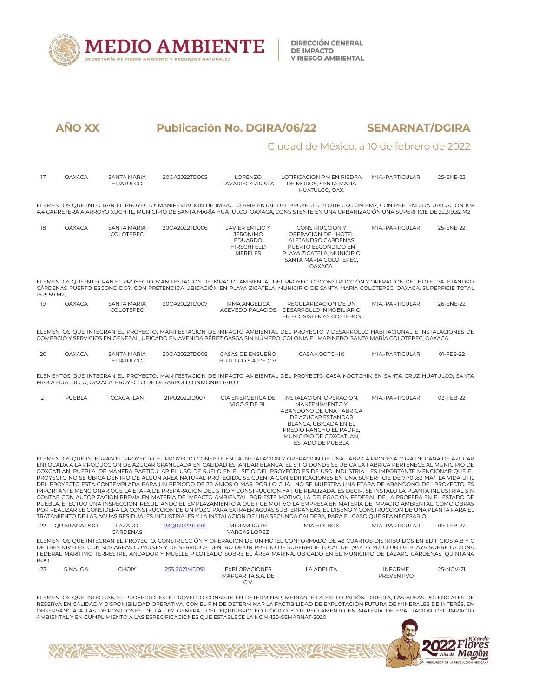

#### Ciudad de México, a 10 de febrero de 2022

| 17          | <b>OAXACA</b>   | <b>SANTA MARIA</b><br><b>HUATULCO</b> | 20OA2022TD005                                                | LORENZO<br>LAVARIEGA ARISTA                                                                        | LOTIFICACION PM EN PIEDRA<br>DE MOROS, SANTA MATIA<br>HUATULCO, OAX.                                                                                                                                                                                                                                                                                                                                                                                                                                                                                                                                                                                                                                                                                                                                                                                                                                                                                                                                                                                                                                                                                                                                                                                                                                                                                                                                                 | MIA.-PARTICULAR | 25-ENE-22 |
|-------------|-----------------|---------------------------------------|--------------------------------------------------------------|----------------------------------------------------------------------------------------------------|----------------------------------------------------------------------------------------------------------------------------------------------------------------------------------------------------------------------------------------------------------------------------------------------------------------------------------------------------------------------------------------------------------------------------------------------------------------------------------------------------------------------------------------------------------------------------------------------------------------------------------------------------------------------------------------------------------------------------------------------------------------------------------------------------------------------------------------------------------------------------------------------------------------------------------------------------------------------------------------------------------------------------------------------------------------------------------------------------------------------------------------------------------------------------------------------------------------------------------------------------------------------------------------------------------------------------------------------------------------------------------------------------------------------|-----------------|-----------|
|             |                 |                                       |                                                              |                                                                                                    | ELEMENTOS QUE INTEGRAN EL PROYECTO: MANIFESTACIÓN DE IMPACTO AMBIENTAL DEL PROYECTO ?LOTIFICACIÓN PM?, CON PRETENDIDA UBICACIÓN KM<br>4.4 CARRETERA A ARROYO XUCHITL, MUNICIPIO DE SANTA MARÍA HUATULCO, OAXACA, CONSISTENTE EN UNA URBANIZACIÓN UNA SUPERFICIE DE 22,319.32 M2.                                                                                                                                                                                                                                                                                                                                                                                                                                                                                                                                                                                                                                                                                                                                                                                                                                                                                                                                                                                                                                                                                                                                     |                 |           |
| 18          | <b>OAXACA</b>   | <b>SANTA MARIA</b><br>COLOTEPEC       | 20OA2022TD006                                                | <b>JAVIER EMILIO Y</b><br><b>JERONIMO</b><br><b>EDUARDO</b><br><b>HIRSCHFELD</b><br><b>MERELES</b> | <b>CONSTRUCCION Y</b><br>OPERACION DEL HOTEL<br>ALEJANDRO CARDENAS<br>PUERTO ESCONDIDO EN<br>PLAYA ZICATELA, MUNICIPIO<br>SANTA MARIA COLOTEPEC,<br>OAXACA.                                                                                                                                                                                                                                                                                                                                                                                                                                                                                                                                                                                                                                                                                                                                                                                                                                                                                                                                                                                                                                                                                                                                                                                                                                                          | MIA.-PARTICULAR | 25-ENE-22 |
| 1625.59 M2. |                 |                                       |                                                              |                                                                                                    | ELEMENTOS QUE INTEGRAN EL PROYECTO: MANIFESTACIÓN DE IMPACTO AMBIENTAL DEL PROYECTO ?CONSTRUCCIÓN Y OPERACIÓN DEL HOTEL ?ALEJANDRO<br>CÁRDENAS PUERTO ESCONDIDO?, CON PRETENDIDA UBICACIÓN EN PLAYA ZICATELA, MUNICIPIO DE SANTA MARÍA COLOTEPEC, OAXACA, SUPERFICIE TOTAL                                                                                                                                                                                                                                                                                                                                                                                                                                                                                                                                                                                                                                                                                                                                                                                                                                                                                                                                                                                                                                                                                                                                           |                 |           |
| 19          | <b>OAXACA</b>   | <b>SANTA MARIA</b><br>COLOTEPEC       | 20OA2022TD007                                                | <b>IRMA ANGELICA</b>                                                                               | REGULARIZACION DE UN<br>ACEVEDO PALACIOS DESARROLLO INMOBILIARIO<br>EN ECOSISTEMAS COSTEROS                                                                                                                                                                                                                                                                                                                                                                                                                                                                                                                                                                                                                                                                                                                                                                                                                                                                                                                                                                                                                                                                                                                                                                                                                                                                                                                          | MIA.-PARTICULAR | 26-ENE-22 |
|             |                 |                                       |                                                              |                                                                                                    | ELEMENTOS OUE INTEGRAN EL PROYECTO: MANIFESTACIÓN DE IMPACTO AMBIENTAL DEL PROYECTO ? DESARROLLO HABITACIONAL E INSTALACIONES DE<br>COMERCIO Y SERVICIOS EN GENERAL, UBICADO EN AVENIDA PÉREZ GASGA SIN NÚMERO, COLONIA EL MARINERO, SANTA MARÍA COLOTEPEC, OAXACA,                                                                                                                                                                                                                                                                                                                                                                                                                                                                                                                                                                                                                                                                                                                                                                                                                                                                                                                                                                                                                                                                                                                                                  |                 |           |
| 20          | <b>OAXACA</b>   | SANTA MARIA<br><b>HUATULCO</b>        | 20OA2022TD008                                                | CASAS DE ENSUEÑO<br>HUTULCO S.A. DE C.V.                                                           | <b>CASA KOOTCHIK</b>                                                                                                                                                                                                                                                                                                                                                                                                                                                                                                                                                                                                                                                                                                                                                                                                                                                                                                                                                                                                                                                                                                                                                                                                                                                                                                                                                                                                 | MIA.-PARTICULAR | 01-FEB-22 |
|             |                 |                                       | MARIA HUATULCO, OAXACA. PROYECTO DE DESARROLLO INMONBILIARIO |                                                                                                    | ELEMENTOS QUE INTEGRAN EL PROYECTO: MANIFESTACION DE IMPACTO AMBIENTAL DEL PROYECTO CASA KOOTCHIK EN SANTA CRUZ HUATULCO, SANTA                                                                                                                                                                                                                                                                                                                                                                                                                                                                                                                                                                                                                                                                                                                                                                                                                                                                                                                                                                                                                                                                                                                                                                                                                                                                                      |                 |           |
| 21          | PUEBLA          | COXCATLAN                             | 21PU2022ID007                                                | CIA ENERGETICA DE<br>VIGO S DE RL                                                                  | INSTALACION, OPERACION,<br>MANTENIMIENTO Y<br>ABANDONO DE UNA FABRICA<br>DE AZUCAR ESTANDAR<br>BLANCA, UBICADA EN EL<br>PREDIO RANCHO EL PADRE,<br>MUNICIPIO DE COXCATLAN,<br><b>ESTADO DE PUEBLA</b>                                                                                                                                                                                                                                                                                                                                                                                                                                                                                                                                                                                                                                                                                                                                                                                                                                                                                                                                                                                                                                                                                                                                                                                                                | MIA.-PARTICULAR | 03-FEB-22 |
|             |                 |                                       |                                                              |                                                                                                    | ELEMENTOS QUE INTEGRAN EL PROYECTO: EL PROYECTO CONSISTE EN LA INSTALACION Y OPERACION DE UNA FABRICA PROCESADORA DE CANA DE AZUCAR<br>ENFOCADA A LA PRODUCCION DE AZUCAR GRANULADA EN CALIDAD ESTANDAR BLANCA. EL SITIO DONDE SE UBICA LA FABRICA PERTENECE AL MUNICIPIO DE<br>COXCATLAN, PUEBLA, DE MANERA PARTICULAR EL USO DE SUELO EN EL SITIO DEL PROYECTO ES DE USO INDUSTRIAL, ES IMPORTANTE MENCIONAR OUE EL<br>PROYECTO NO SE UBICA DENTRO DE ALGUN AREA NATURAL PROTEGIDA. SE CUENTA CON EDIFICACIONES EN UNA SUPERFICIE DE 7,701.83 MÂ <sup>2</sup> . LA VIDA UTIL<br>DEL PROYECTO ESTA CONTEMPLADA PARA UN PERIODO DE 30 ANIOS O MAS, POR LO CUAL NO SE MUESTRA UNA ETAPA DE ABANDONO DEL PROYECTO. ES<br>IMPORTANTE MENCIONAR QUE LA ETAPA DE PREPARACION DEL SITIO Y CONSTRUCCION YA FUE REALIZADA; ES DECIR, SE INSTALO LA PLANTA INDUSTRIAL SIN<br>CONTAR CON AUTORIZACION PREVIA EN MATERIA DE IMPACTO AMBIENTAL. POR ESTE MOTIVO, LA DELEGACION FEDERAL DE LA PROFEPA EN EL ESTADO DE<br>PUEBLA, EFECTUO UNA INSPECCION, RESULTANDO EL EMPLAZAMIENTO A QUE FUE MOTIVO LA EMPRESA EN MATERIA DE IMPACTO AMBIENTAL. COMO OBRAS<br>POR REALIZAR SE CONSIDERA LA CONSTRUCCION DE UN POZO PARA EXTRAER AGUAS SUBTERRANEAS, EL DISENO Y CONSTRUCCION DE UNA PLANTA PARA EL<br>TRATAMIENTO DE LAS AGUAS RESIDUALES INDUSTRIALES Y LA INSTALACION DE UNA SEGUNDA CALDERA. PARA EL CASO OUE SEA NECESARIO. |                 |           |
|             | 22 QUINTANA ROO | LAZARO<br>CARDENAS                    | 23OR2022TD011                                                | MIRIAM RUTH<br><b>VARGAS LOPEZ</b>                                                                 | MIA HOLBOX                                                                                                                                                                                                                                                                                                                                                                                                                                                                                                                                                                                                                                                                                                                                                                                                                                                                                                                                                                                                                                                                                                                                                                                                                                                                                                                                                                                                           | MIA.-PARTICULAR | 09-FEB-22 |
|             |                 |                                       |                                                              |                                                                                                    | FLEMENTOS QUE INTEGRAN EL RROYECTO: CONSTRUCCIÓN Y ORFRACIÓN DE UN HOTEL CONFORMADO DE 43 CUARTOS DISTRIBUIDOS EN EDIFICIOS A R Y C                                                                                                                                                                                                                                                                                                                                                                                                                                                                                                                                                                                                                                                                                                                                                                                                                                                                                                                                                                                                                                                                                                                                                                                                                                                                                  |                 |           |

ELEMENTOS QUE INTEGRAN EL PROYECTO: CONSTRUCCIÓN Y OPERACIÓN DE UN HOTEL CONFORMADO DE 43 CUARTOS DISTRIBUIDOS EN EDIFICIOS A,B Y C<br>DE TRES NIVELES, CON SUS ÁREAS COMUNES Y DE SERVICIOS DENTRO DE UN PREDIO DE SUPERFICIE TO FEDERAL MARÍTIMO TERRESTRE, ANDADOR Y MUELLE PILOTEADO SOBRE EL ÁREA MARINA. UBICADO EN EL MUNICIPIO DE LÁZARO CÁRDENAS, QUINTANA ROO.

| $\sim$<br>ب | SINAI OA | 10V<br>HUIA | ORACIONES<br>:vn<br>- ヘ ピ | ADE. | <b>INFORME</b>               | 5-NOV-3<br>- |
|-------------|----------|-------------|---------------------------|------|------------------------------|--------------|
|             |          |             | <b>MARC</b><br>.<br>. .   |      | <b>FNTIVC</b><br>レレトソ<br>. . |              |
|             |          |             | $\lambda$<br>◡.៴.         |      |                              |              |

ELEMENTOS QUE INTEGRAN EL PROYECTO: ESTE PROYECTO CONSISTE EN DETERMINAR, MEDIANTE LA EXPLORACIÓN DIRECTA, LAS ÁREAS POTENCIALES DE RESERVA EN CALIDAD Y DISPONIBILIDAD OPERATIVA, CON EL FIN DE DETERMINAR LA FACTIBILIDAD DE EXPLOTACIÓN FUTURA DE MINERALES DE INTERÉS, EN OBSERVANCIA A LAS DISPOSICIONES DE LA LEY GENERAL DEL EQUILIBRIO ECOLÓGICO Y SU REGLAMENTO EN MATERIA DE EVALUACIÓN DEL IMPACTO AMBIENTAL Y EN CUMPLIMIENTO A LAS ESPECIFICACIONES QUE ESTABLECE LA NOM-120-SEMARNAT-2020.

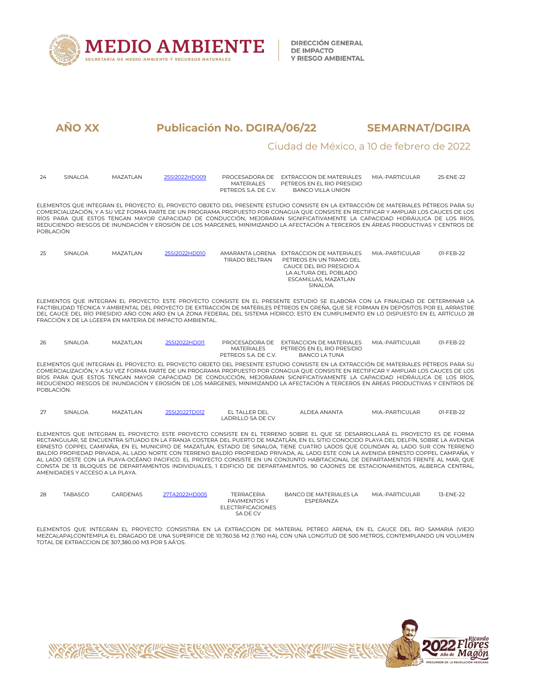

**DIRECCIÓN GENERAL DE IMPACTO** Y RIESGO AMBIENTAL

# **AÑO XX Publicación No. DGIRA/06/22 SEMARNAT/DGIRA**

#### Ciudad de México, a 10 de febrero de 2022

| 24         | SINALOA                         | MAZATLAN | 25SI2022HD009                                            | <b>MATERIALES</b><br>PFTRFOS S.A. DF C.V.                                 | PROCESADORA DE EXTRACCION DE MATERIALES<br>PETREOS EN EL RIO PRESIDIO<br><b>BANCO VILLA UNION</b>                                                                                                                                                                                                                                                                                                                                                                                                                                                                                                                                                                                                                                                                                                                          | MIA.-PARTICULAR   | 25-ENE-22 |
|------------|---------------------------------|----------|----------------------------------------------------------|---------------------------------------------------------------------------|----------------------------------------------------------------------------------------------------------------------------------------------------------------------------------------------------------------------------------------------------------------------------------------------------------------------------------------------------------------------------------------------------------------------------------------------------------------------------------------------------------------------------------------------------------------------------------------------------------------------------------------------------------------------------------------------------------------------------------------------------------------------------------------------------------------------------|-------------------|-----------|
| POBLACIÓN  |                                 |          |                                                          |                                                                           | ELEMENTOS QUE INTEGRAN EL PROYECTO: EL PROYECTO OBJETO DEL PRESENTE ESTUDIO CONSISTE EN LA EXTRACCIÓN DE MATERIALES PÉTREOS PARA SU<br>COMERCIALIZACIÓN. Y A SU VEZ FORMA PARTE DE UN PROGRAMA PROPUESTO POR CONAGUA QUE CONSISTE EN RECTIFICAR Y AMPLIAR LOS CAUCES DE LOS<br>RÍOS PARA QUE ESTOS TENGAN MAYOR CAPACIDAD DE CONDUCCIÓN, MEJORARAN SIGNIFICATIVAMENTE LA CAPACIDAD HIDRÁULICA DE LOS RÍOS,<br>REDUCIENDO RIESGOS DE INUNDACIÓN Y FROSIÓN DE LOS MÁRGENES, MINIMIZANDO LA AFECTACIÓN A TERCEROS EN ÁREAS PRODUCTIVAS Y CENTROS DE                                                                                                                                                                                                                                                                           |                   |           |
| 25         | SINALOA                         | MAZATLAN | 25SI2022HD010                                            | TIRADO BELTRAN                                                            | AMARANTA LORENA EXTRACCION DE MATERIALES<br>PETREOS EN UN TRAMO DEL<br>CAUCE DEL RIO PRESIDIO A<br>LA ALTURA DEL POBLADO<br>ESCAMILLAS, MAZATLAN<br>SINALOA.                                                                                                                                                                                                                                                                                                                                                                                                                                                                                                                                                                                                                                                               | MIA - PARTICUI AR | 01-FFB-22 |
|            |                                 |          | FRACCIÓN X DE LA LGEFPA EN MATERIA DE IMPACTO AMBIENTAL. |                                                                           | ELEMENTOS QUE INTEGRAN EL PROYECTO: ESTE PROYECTO CONSISTE EN EL PRESENTE ESTUDIO SE ELABORA CON LA FINALIDAD DE DETERMINAR LA<br>FACTIBILIDAD TÉCNICA Y AMBIENTAL DEL PROYECTO DE EXTRACCIÓN DE MATERILES PÉTREOS EN GREÑA. OUE SE FORMAN EN DEPÓSITOS POR EL ARRASTRE<br>DEL CAUCE DEL RÍO PRESIDIO AÑO CON AÑO EN LA ZONA FEDERAL DEL SISTEMA HÍDRICO; ESTO EN CUMPLIMENTO EN LO DISPUESTO EN EL ARTÍCULO 28                                                                                                                                                                                                                                                                                                                                                                                                            |                   |           |
| 26         | SINALOA                         | MAZATLAN | 25SI2022HD011                                            | <b>MATERIALES</b><br>PETREOS S.A. DE C.V.                                 | PROCESADORA DE EXTRACCION DE MATERIALES<br>PETREOS EN EL RIO PRESIDIO<br><b>BANCO LA TUNA</b>                                                                                                                                                                                                                                                                                                                                                                                                                                                                                                                                                                                                                                                                                                                              | MIA.-PARTICULAR   | 01-FEB-22 |
| POBLACIÓN. |                                 |          |                                                          |                                                                           | ELEMENTOS QUE INTEGRAN EL PROYECTO: EL PROYECTO OBJETO DEL PRESENTE ESTUDIO CONSISTE EN LA EXTRACCIÓN DE MATERIALES PÉTREOS PARA SU<br>COMERCIALIZACIÓN, Y A SU VEZ FORMA PARTE DE UN PROGRAMA PROPUESTO POR CONAGUA OUE CONSISTE EN RECTIFICAR Y AMPLIAR LOS CAUCES DE LOS<br>RÍOS PARA OUE ESTOS TENGAN MAYOR CAPACIDAD DE CONDUCCIÓN, MEJORARAN SIGNIFICATIVAMENTE LA CAPACIDAD HIDRÁULICA DE LOS RÍOS.<br>REDUCIENDO RIESGOS DE INUNDACIÓN Y EROSIÓN DE LOS MÁRGENES, MINIMIZANDO LA AFECTACIÓN A TERCEROS EN ÁREAS PRODUCTIVAS Y CENTROS DE                                                                                                                                                                                                                                                                           |                   |           |
| 27         | SINALOA                         | MAZATLAN | 25SI2022TD012                                            | EL TALLER DEL<br><b>LADRILLO SA DE CV</b>                                 | ALDEA ANANTA                                                                                                                                                                                                                                                                                                                                                                                                                                                                                                                                                                                                                                                                                                                                                                                                               | MIA.-PARTICULAR   | 01-FEB-22 |
|            | AMENIDADES Y ACCESO A LA PLAYA. |          |                                                          |                                                                           | ELEMENTOS QUE INTEGRAN EL PROYECTO: ESTE PROYECTO CONSISTE EN EL TERRENO SOBRE EL QUE SE DESARROLLARÁ EL PROYECTO ES DE FORMA<br>RECTANGULAR, SE ENCUENTRA SITUADO EN LA FRANJA COSTERA DEL PUERTO DE MAZATLÁN, EN EL SITIO CONOCIDO PLAYA DEL DELFÍN, SOBRE LA AVENIDA<br>ERNESTO COPPEL CAMPAÑA, EN EL MUNICIPIO DE MAZATLÁN, ESTADO DE SINALOA, TIENE CUATRO LADOS QUE COLINDAN AL LADO SUR CON TERRENO<br>BALDÍO PROPIEDAD PRIVADA, AL LADO NORTE CON TERRENO BALDÍO PROPIEDAD PRIVADA, AL LADO ESTE CON LA AVENIDA ERNESTO COPPEL CAMPAÑA, Y<br>AL LADO OESTE CON LA PLAYA-OCÉANO PACIFICO. EL PROYECTO CONSISTE EN UN CONJUNTO HABITACIONAL DE DEPARTAMENTOS FRENTE AL MAR. OUE<br>CONSTA DE 13 BLOQUES DE DEPARTAMENTOS INDIVIDUALES, 1 EDIFICIO DE DEPARTAMENTOS, 90 CAJONES DE ESTACIONAMIENTOS, ALBERCA CENTRAL, |                   |           |
| 28         | <b>TABASCO</b>                  | CARDENAS | 27TA2022HD005                                            | <b>TERRACERIA</b><br>PAVIMENTOS Y<br><b>ELECTRIFICACIONES</b><br>SA DE CV | <b>BANCO DE MATERIALES LA</b><br>ESPERANZA                                                                                                                                                                                                                                                                                                                                                                                                                                                                                                                                                                                                                                                                                                                                                                                 | MIA.-PARTICULAR   | 13-ENE-22 |

ELEMENTOS QUE INTEGRAN EL PROYECTO: CONSISTIRA EN LA EXTRACCION DE MATERIAL PETREO ARENA, EN EL CAUCE DEL RIO SAMARIA (VIEJO<br>MEZCALAPAJ,CONTEMPLA EL DRAGADO DE UNA SUPERFICIE DE 10,760.56 M2 (1.760 HA), CON UNA LONGITUD DE

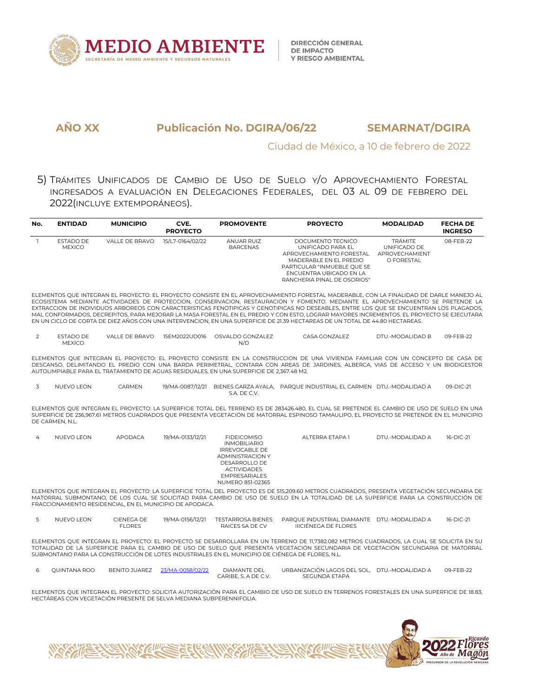

#### Ciudad de México, a 10 de febrero de 2022

5) TRÁMITES UNIFICADOS DE CAMBIO DE USO DE SUELO Y/O APROVECHAMIENTO FORESTAL INGRESADOS A EVALUACIÓN EN DELEGACIONES FEDERALES, DEL 03 AL 09 DE FEBRERO DEL 2022(INCLUYE EXTEMPORÁNEOS).

| No. | <b>ENTIDAD</b>             | <b>MUNICIPIO</b> | CVE.<br><b>PROYECTO</b> | <b>PROMOVENTE</b>             | <b>PROYECTO</b>                                                                                                                                                                       | <b>MODALIDAD</b>                                               | <b>FECHA DE</b><br><b>INGRESO</b> |
|-----|----------------------------|------------------|-------------------------|-------------------------------|---------------------------------------------------------------------------------------------------------------------------------------------------------------------------------------|----------------------------------------------------------------|-----------------------------------|
|     | ESTADO DE<br><b>MEXICO</b> | VALLE DE BRAVO   | 15/L7-0164/02/22        | ANUAR RUIZ<br><b>BARCENAS</b> | DOCUMENTO TECNICO<br>UNIFICADO PARA EL<br>APROVECHAMIENTO FORESTAL<br>MADERABLE EN EL PREDIO<br>PARTICULAR "INMUEBLE OUE SE<br>ENCUENTRA UBICADO EN LA<br>RANCHERIA PINAL DE OSORIOS" | <b>TRÁMITE</b><br>UNIFICADO DE<br>APROVECHAMIENT<br>O FORESTAL | 08-FEB-22                         |

ELEMENTOS QUE INTEGRAN EL PROYECTO: EL PROYECTO CONSISTE EN EL APROVECHAMIENTO FORESTAL MADERABLE,CON LA FINALIDAD DE DARLE MANEJO AL ECOSISTEMA MEDIANTE ACTIVIDADES DE PROTECCION, CONSERVACION, RESTAURACION Y FOMENTO. MEDIANTE EL APROVECHAMIENTO SE PRETENDE LA EXTRACCION DE INDIVIDUOS ARBOREOS CON CARACTERISTICAS FENOTIPICAS Y GENOTIPICAS NO DESEABLES, ENTRE LOS QUE SE ENCUENTRAN LOS PLAGADOS, MAL CONFORMADOS, DECREPITOS, PARA MEJORAR LA MASA FORESTAL EN EL PREDIO Y CON ESTO, LOGRAR MAYORES INCREMENTOS. EL PROYECTO SE EJECUTARA EN UN CICLO DE CORTA DE DIEZ AÑOS CON UNA INTERVENCION, EN UNA SUPERFICIE DE 21.39 HECTAREAS DE UN TOTAL DE 44.80 HECTAREAS.

2 ESTADO DE VALLE DE BRAVO 15EM2022UD016 OSVALDO GONZALEZ MEXICO N/D CASA GONZALEZ DTU.-MODALIDAD B 09-FEB-22

ELEMENTOS QUE INTEGRAN EL PROYECTO: EL PROYECTO CONSISTE EN LACONSTRUCCION DE UNA VIVIENDA FAMILIAR CON UN CONCEPTO DE CASA DE DESCANSO, DELIMITANDO EL PREDIO CON UNA BARDA PERIMETRAL, CONTARA CON AREAS DE JARDINES, ALBERCA, VIAS DE ACCESO Y UN BIODIGESTOR AUTOLIMPIABLE PARA EL TRATAMIENTO DE AGUAS RESIDUALES, EN UNA SUPERFICIE DE 2,367.48 M2.

| NUFVO LEON | <b>ARMEN</b> | 19/MA-0087/12/21 | BIENES GARZA AYALA. | PAROUE INDUSTRIAL EL CARMEN DTU.-MODALIDAD A | 09-DIC-21 |
|------------|--------------|------------------|---------------------|----------------------------------------------|-----------|
|            |              |                  | S.A. DE C.V.        |                                              |           |

ELEMENTOS QUE INTEGRAN EL PROYECTO: LA SUPERFICIE TOTAL DEL TERRENO ES DE 283426.480, EL CUAL SE PRETENDE EL CAMBIO DE USO DE SUELO EN UNA SUPERFICIE DE 236,967.61 METROS CUADRADOS QUE PRESENTA VEGETACIÓN DE MATORRAL ESPINOSO TAMAULIPO, EL PROYECTO SE PRETENDE EN EL MUNICIPIO DE CARMEN, N.L.

| 4 | NUEVO LEON | APODACA | 19/MA-0133/12/21 | <b>FIDEICOMISO</b><br><b>INMOBILIARIO</b><br><b>IRREVOCABLE DE</b><br><b>ADMINISTRACION Y</b><br>DESARROLLO DE<br><b>ACTIVIDADES</b><br><b>EMPRESARIALES</b><br>NUMERO 851-02365 | ALTERRA ETAPA 1 | DTU.-MODALIDAD A | 16-DIC-21 |
|---|------------|---------|------------------|----------------------------------------------------------------------------------------------------------------------------------------------------------------------------------|-----------------|------------------|-----------|
|   |            |         |                  |                                                                                                                                                                                  |                 |                  |           |

ELEMENTOS QUE INTEGRAN EL PROYECTO: LA SUPERFICIE TOTAL DEL PROYECTO ES DE 515,209.60 METROS CUADRADOS, PRESENTA VEGETACIÓN SECUNDARIA DE MATORRAL SUBMONTANO, DE LOS CUAL SE SOLICITAD PARA CAMBIO DE USO DE SUELO EN LATOTALIDAD DE LA SUPERFICIE PARA LA CONSTRUCCIÓN DE FRACCIONAMIENTO RESIDENCIAL, EN EL MUNICIPIO DE APODACA.

| U | <b>FON</b><br>NUEVOL<br>111 | CIENEGA DE | 19/MA-0156/12/21 | TESTARROSA BIENES | <b>DIAMANTE</b><br>PAROUF INDUSTRIAI    | J.-MODAI IDAD A<br>DTU | 16-DIC-21 |
|---|-----------------------------|------------|------------------|-------------------|-----------------------------------------|------------------------|-----------|
|   |                             | FLORES     |                  | RAICES.<br>SΛ     | <b>LORES</b><br><b>IIICIÈNEGA DE EL</b> |                        |           |

ELEMENTOS QUE INTEGRAN EL PROYECTO: EL PROYECTO SE DESARROLLARA EN UN TERRENO DE 11,7382.082 METROS CUADRADOS, LA CUAL SE SOLICITA EN SU TOTALIDAD DE LA SUPERFICIE PARA EL CAMBIO DE USO DE SUELO QUE PRESENTA VEGETACIÓN SECUNDARIA DE VEGETACIÓN SECUNDARIA DE MATORRAL SUBMONTANO PARA LA CONSTRUCCIÓN DE LOTES INDUSTRIALES EN EL MUNICIPIO DE CIÉNEGA DE FLORES, N.L.

| <b>OUINTANA ROO</b> | UAREZ<br>BENITO." | ⁄3/MΔ-C<br>NISB/A2/2 | <b>DIAMANTE DEL</b>  | URBANIZACIÓN LAGOS DEL SOL.<br>the contract of the contract of the contract of the contract of the contract of the contract of the contract of | DTU.-MODAI IDAD A | $09 - FFR - 22$ |
|---------------------|-------------------|----------------------|----------------------|------------------------------------------------------------------------------------------------------------------------------------------------|-------------------|-----------------|
|                     |                   |                      | CARIBE.<br>A DF C.V. | SEGUNDA ETAPA                                                                                                                                  |                   |                 |

ELEMENTOS QUE INTEGRAN EL PROYECTO: SOLICITA AUTORIZACIÓN PARA EL CAMBIO DE USO DE SUELO EN TERRENOS FORESTALES EN UNA SUPERFICIE DE 18.83, HECTÁREAS CON VEGETACIÓN PRESENTE DE SELVA MEDIANA SUBPERENNIFOLIA.

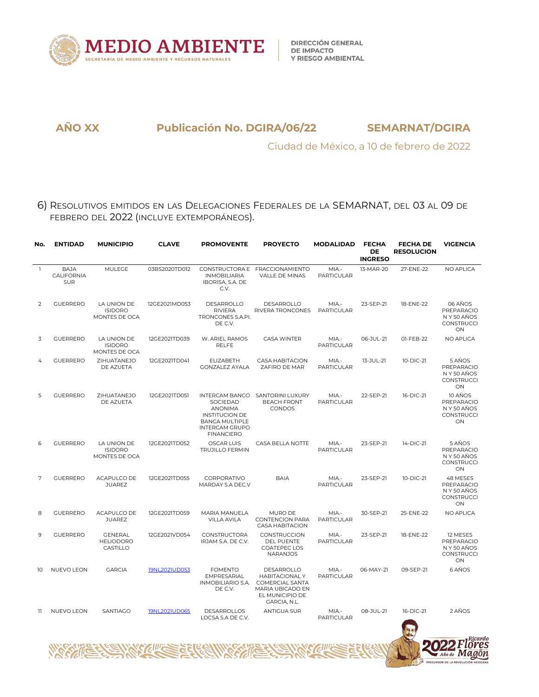

Ciudad de México, a 10 de febrero de 2022

6) RESOLUTIVOS EMITIDOS EN LAS DELEGACIONES FEDERALES DE LA SEMARNAT, DEL 03 AL 09 DE FEBRERO DEL 2022 (INCLUYE EXTEMPORÁNEOS).

| No.          | <b>ENTIDAD</b>                   | <b>MUNICIPIO</b>                               | <b>CLAVE</b>  | <b>PROMOVENTE</b>                                                                                                          | <b>PROYECTO</b>                                                                                              | <b>MODALIDAD</b>           | <b>FECHA</b><br>DE<br><b>INGRESO</b> | <b>FECHA DE</b><br><b>RESOLUCION</b> | <b>VIGENCIA</b>                                                 |
|--------------|----------------------------------|------------------------------------------------|---------------|----------------------------------------------------------------------------------------------------------------------------|--------------------------------------------------------------------------------------------------------------|----------------------------|--------------------------------------|--------------------------------------|-----------------------------------------------------------------|
| $\mathbf{1}$ | <b>BAJA</b><br>CALIFORNIA<br>SUR | MULEGE                                         | 03BS2020TD012 | <b>INMOBILIARIA</b><br>IBORISA, S.A. DE<br>C.V.                                                                            | CONSTRUCTORA E FRACCIONAMIENTO<br>VALLE DE MINAS                                                             | MIA.-<br><b>PARTICULAR</b> | 13-MAR-20                            | 27-ENE-22                            | NO APLICA                                                       |
| 2            | <b>GUERRERO</b>                  | LA UNION DE<br><b>ISIDORO</b><br>MONTES DE OCA | 12GE2021MD053 | DESARROLLO<br><b>RIVIERA</b><br>TRONCONES S.A.PI.<br>DE C.V.                                                               | DESARROLLO<br>RIVERA TRONCONES                                                                               | MIA.-<br>PARTICULAR        | 23-SEP-21                            | 18-ENE-22                            | 06 AÑOS<br>PREPARACIO<br>N Y 50 AÑOS<br>CONSTRUCCI<br>ON        |
| 3            | <b>GUERRERO</b>                  | LA UNION DE<br><b>ISIDORO</b><br>MONTES DE OCA | 12GE2021TD039 | W. ARIEL RAMOS<br><b>RELFE</b>                                                                                             | <b>CASA WINTER</b>                                                                                           | MIA.-<br><b>PARTICULAR</b> | 06-JUL-21                            | 01-FEB-22                            | NO APLICA                                                       |
|              | <b>GUERRERO</b>                  | ZIHUATANEJO<br>DE AZUETA                       | 12GE2021TD041 | <b>ELIZABETH</b><br><b>GONZALEZ AYALA</b>                                                                                  | <b>CASA HABITACION</b><br>ZAFIRO DE MAR                                                                      | MIA.-<br><b>PARTICULAR</b> | 13-JUL-21                            | 10-DIC-21                            | 5 AÑOS<br>PREPARACIO<br>N Y 50 AÑOS<br>CONSTRUCCI<br>ON         |
| 5            | <b>GUERRERO</b>                  | ZIHUATANEJO<br>DE AZUETA                       | 12GE2021TD051 | SOCIEDAD<br><b>ANONIMA</b><br><b>INSTITUCION DE</b><br><b>BANCA MULTIPLE</b><br><b>INTERCAM GRUPO</b><br><b>FINANCIERO</b> | INTERCAM BANCO SANTORINI LUXURY<br><b>BEACH FRONT</b><br>CONDOS                                              | MIA.-<br><b>PARTICULAR</b> | 22-SEP-21                            | 16-DIC-21                            | 10 AÑOS<br>PREPARACIO<br>N Y 50 AÑOS<br><b>CONSTRUCCI</b><br>ON |
| 6            | <b>GUERRERO</b>                  | LA UNION DE<br><b>ISIDORO</b><br>MONTES DE OCA | 12GE2021TD052 | <b>OSCAR LUIS</b><br><b>TRUJILLO FERMIN</b>                                                                                | CASA BELLA NOTTE                                                                                             | MIA-<br>PARTICULAR         | 23-SEP-21                            | 14-DIC-21                            | 5 AÑOS<br>PREPARACIO<br>N Y 50 AÑOS<br><b>CONSTRUCCI</b><br>ON  |
| 7            | <b>GUERRERO</b>                  | ACAPULCO DE<br><b>JUAREZ</b>                   | 12GE2021TD055 | CORPORATIVO<br>MARDAY S.A DEC.V                                                                                            | <b>BAIA</b>                                                                                                  | MIA.-<br><b>PARTICULAR</b> | 23-SEP-21                            | 10-DIC-21                            | 48 MESES<br>PREPARACIO<br>N Y 50 AÑOS<br>CONSTRUCCI<br>ON       |
| 8            | <b>GUERRERO</b>                  | ACAPULCO DE<br><b>JUAREZ</b>                   | 12GE2021TD059 | MARIA MANUELA<br>VILLA AVILA                                                                                               | MURO DE<br><b>CONTENCION PARA</b><br>CASA HABITACION                                                         | MIA-<br><b>PARTICULAR</b>  | 30-SEP-21                            | 25-ENE-22                            | NO APLICA                                                       |
| 9            | <b>GUERRERO</b>                  | <b>GENERAL</b><br><b>HELIODORO</b><br>CASTILLO | 12GE2021VD054 | CONSTRUCTORA<br>IRJAM S.A. DE C.V.                                                                                         | CONSTRUCCION<br>DEL PUENTE<br><b>COATEPEC LOS</b><br><b>NARANJOS</b>                                         | MIA.-<br><b>PARTICULAR</b> | 23-SEP-21                            | 18-ENE-22                            | 12 MESES<br>PREPARACIO<br>N Y 50 AÑOS<br>CONSTRUCCI<br>ON       |
| 10           | NUEVO LEON                       | <b>GARCIA</b>                                  | 19NL2021UD053 | <b>FOMENTO</b><br>EMPRESARIAL<br>INMOBILIARIO S.A.<br>DE C.V.                                                              | DESARROLLO<br><b>HABITACIONALY</b><br>COMERCIAL SANTA<br>MARIA UBICADO EN<br>EL MUNICIPIO DE<br>GARCIA, N.L. | MIA-<br><b>PARTICULAR</b>  | 06-MAY-21                            | 09-SEP-21                            | 6 AÑOS                                                          |
| 11           | NUEVO LEON                       | SANTIAGO                                       | 19NL2021UD065 | <b>DESARROLLOS</b><br>LOCSA S.A DE C.V.                                                                                    | ANTIGUA SUR                                                                                                  | MIA -<br><b>PARTICULAR</b> | 08-JUL-21                            | 16-DIC-21                            | 2 AÑOS                                                          |
|              |                                  |                                                |               |                                                                                                                            |                                                                                                              |                            |                                      |                                      | Ricardo<br>Año de <b>IVIAGON</b><br>UCIÓN MEXICANA              |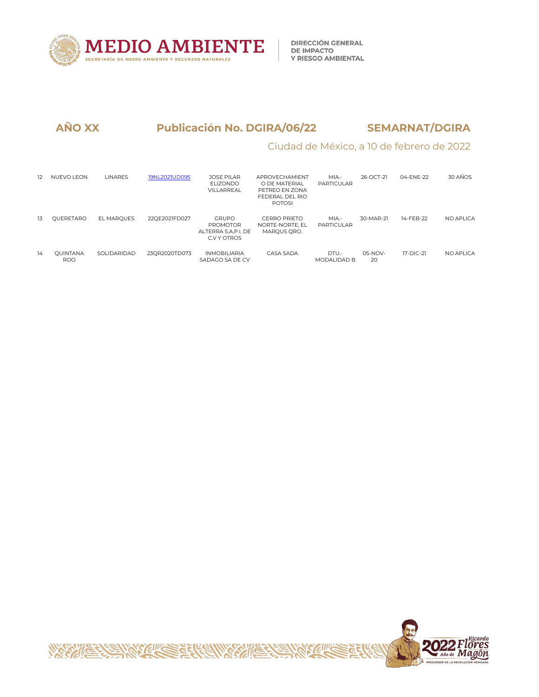

# Ciudad de México, a 10 de febrero de 2022

| 12 | <b>NUEVO LEON</b>             | <b>LINARES</b>    | 19NL2021UD095 | <b>JOSE PILAR</b><br>FIJ7ONDO<br>VILLARREAL                           | APROVECHAMIENT<br>O DE MATERIAI<br>PETREO EN ZONA<br>FEDERAL DEL RIO<br><b>POTOSI</b> | MIA.-<br><b>PARTICULAR</b>  | 26-OCT-21       | 04-ENE-22 | 30 AÑOS    |
|----|-------------------------------|-------------------|---------------|-----------------------------------------------------------------------|---------------------------------------------------------------------------------------|-----------------------------|-----------------|-----------|------------|
| 13 | OUERETARO                     | <b>EL MAROUES</b> | 22OE2021FD027 | <b>GRUPO</b><br><b>PROMOTOR</b><br>ALTERRA S.A.P.I. DE<br>C.V Y OTROS | <b>CERRO PRIETO</b><br>NORTE-NORTE, EL<br>MAROUS ORO.                                 | MIA -<br>PARTICULAR         | 30-MAR-21       | 14-FFB-22 | NO APLICA  |
| 14 | <b>OUINTANA</b><br><b>ROO</b> | SOLIDARIDAD       | 23OR2020TD073 | INMOBILIARIA<br>SADAGO SA DE CV                                       | CASA SADA                                                                             | DTU.-<br><b>MODALIDAD B</b> | $05-NOV-$<br>20 | 17-DIC-21 | NO API ICA |

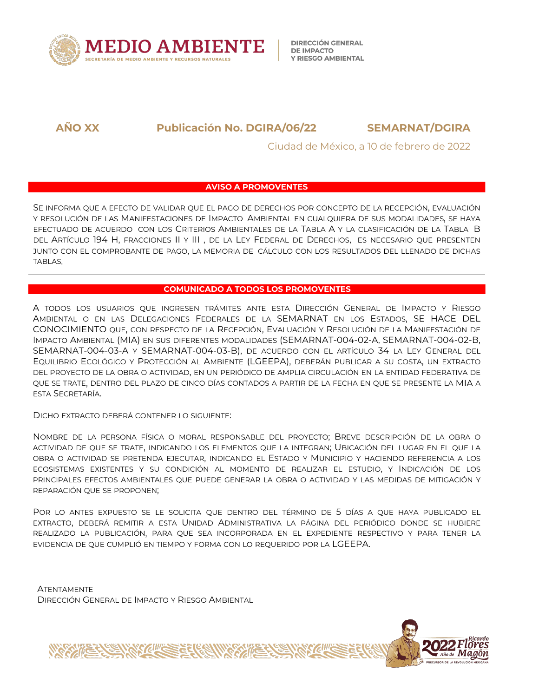

**DIRECCIÓN GENERAL DE IMPACTO Y RIESGO AMBIENTAL** 

**AÑO XX Publicación No. DGIRA/06/22 SEMARNAT/DGIRA**

Ciudad de México, a 10 de febrero de 2022

#### **AVISO A PROMOVENTES**

SE INFORMA QUE A EFECTO DE VALIDAR QUE EL PAGO DE DERECHOS POR CONCEPTO DE LA RECEPCIÓN, EVALUACIÓN Y RESOLUCIÓN DE LAS MANIFESTACIONES DE IMPACTO AMBIENTAL EN CUALQUIERA DE SUS MODALIDADES, SE HAYA EFECTUADO DE ACUERDO CON LOS CRITERIOS AMBIENTALES DE LA TABLA A Y LA CLASIFICACIÓN DE LA TABLA B DEL ARTÍCULO 194 H, FRACCIONES II Y III, DE LA LEY FEDERAL DE DERECHOS, ES NECESARIO QUE PRESENTEN JUNTO CON EL COMPROBANTE DE PAGO, LA MEMORIA DE CÁLCULO CON LOS RESULTADOS DEL LLENADO DE DICHAS TABLAS.

#### **COMUNICADO A TODOS LOS PROMOVENTES**

A TODOS LOS USUARIOS QUE INGRESEN TRÁMITES ANTE ESTA DIRECCIÓN GENERAL DE IMPACTO Y RIESGO AMBIENTAL O EN LAS DELEGACIONES FEDERALES DE LA SEMARNAT EN LOS ESTADOS, SE HACE DEL CONOCIMIENTO QUE, CON RESPECTO DE LA RECEPCIÓN, EVALUACIÓN Y RESOLUCIÓN DE LA MANIFESTACIÓN DE IMPACTO AMBIENTAL (MIA) EN SUS DIFERENTES MODALIDADES (SEMARNAT-004-02-A, SEMARNAT-004-02-B, SEMARNAT-004-03-A Y SEMARNAT-004-03-B), DE ACUERDO CON ELARTÍCULO 34 LALEY GENERAL DEL EQUILIBRIO ECOLÓGICO Y PROTECCIÓN AL AMBIENTE (LGEEPA), DEBERÁN PUBLICAR A SU COSTA, UN EXTRACTO DEL PROYECTO DE LA OBRA O ACTIVIDAD, EN UN PERIÓDICO DE AMPLIA CIRCULACIÓN EN LA ENTIDAD FEDERATIVA DE QUE SE TRATE, DENTRO DEL PLAZO DE CINCO DÍAS CONTADOS A PARTIR DE LA FECHA EN QUE SE PRESENTE LA MIA A ESTA SECRETARÍA.

DICHO EXTRACTO DEBERÁ CONTENER LO SIGUIENTE:

NOMBRE DE LA PERSONA FÍSICA O MORAL RESPONSABLE DEL PROYECTO; BREVE DESCRIPCIÓN DE LA OBRA O ACTIVIDAD DE QUE SE TRATE, INDICANDO LOS ELEMENTOS QUE LA INTEGRAN; UBICACIÓN DEL LUGAR EN EL QUE LA OBRA O ACTIVIDAD SE PRETENDA EJECUTAR, INDICANDO EL ESTADO Y MUNICIPIO Y HACIENDO REFERENCIA A LOS ECOSISTEMAS EXISTENTES Y SU CONDICIÓN AL MOMENTO DE REALIZAR EL ESTUDIO, Y INDICACIÓN DE LOS PRINCIPALES EFECTOS AMBIENTALES QUE PUEDE GENERAR LA OBRA O ACTIVIDAD Y LAS MEDIDAS DE MITIGACIÓN Y REPARACIÓN QUE SE PROPONEN;

POR LO ANTES EXPUESTO SE LE SOLICITA QUE DENTRO DEL TÉRMINO DE 5 DÍAS A QUE HAYA PUBLICADO EL EXTRACTO, DEBERÁ REMITIR A ESTA UNIDAD ADMINISTRATIVA LA PÁGINA DEL PERIÓDICO DONDE SE HUBIERE REALIZADO LA PUBLICACIÓN, PARA QUE SEA INCORPORADA EN EL EXPEDIENTE RESPECTIVO Y PARA TENER LA EVIDENCIA DE QUE CUMPLIÓ EN TIEMPO Y FORMA CON LO REQUERIDO POR LA LGEEPA.

**ATENTAMENTE** DIRECCIÓN GENERAL DE IMPACTO Y RIESGO AMBIENTAL

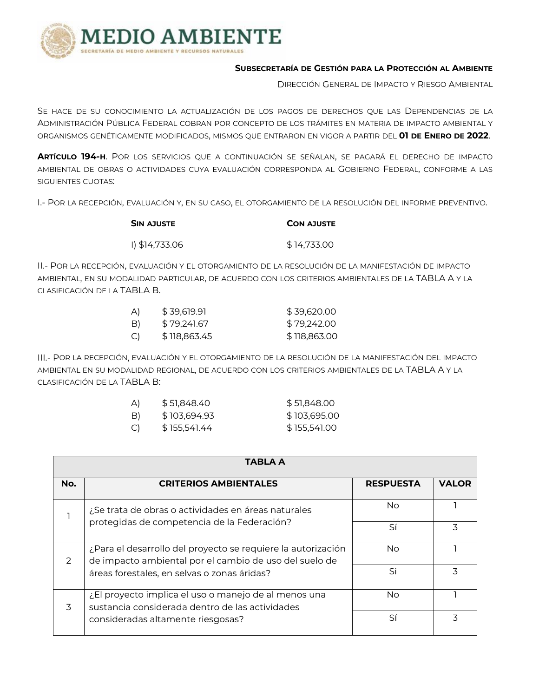

#### **SUBSECRETARÍA DE GESTIÓN PARA LA PROTECCIÓN AL AMBIENTE**

DIRECCIÓN GENERAL DE IMPACTO Y RIESGO AMBIENTAL

SE HACE DE SU CONOCIMIENTO LA ACTUALIZACIÓN DE LOS PAGOS DE DERECHOS QUE LAS DEPENDENCIAS DE LA ADMINISTRACIÓN PÚBLICA FEDERAL COBRAN POR CONCEPTO DE LOSTRÁMITES EN MATERIA DE IMPACTO AMBIENTAL Y ORGANISMOS GENÉTICAMENTE MODIFICADOS, MISMOS QUE ENTRARON EN VIGOR A PARTIR DEL **01 DE ENERO DE 2022**.

**ARTÍCULO 194-H**. POR LOS SERVICIOS QUE A CONTINUACIÓN SE SEÑALAN, SE PAGARÁ EL DERECHO DE IMPACTO AMBIENTAL DE OBRAS O ACTIVIDADES CUYA EVALUACIÓN CORRESPONDA AL GOBIERNO FEDERAL, CONFORME A LAS SIGUIENTES CUOTAS:

I.- POR LA RECEPCIÓN, EVALUACIÓN Y, EN SU CASO, EL OTORGAMIENTO DE LA RESOLUCIÓN DEL INFORME PREVENTIVO.

| <b>SIN AJUSTE</b> | <b>CON AJUSTE</b> |
|-------------------|-------------------|
| I) \$14,733.06    | \$14,733.00       |

II.- POR LA RECEPCIÓN, EVALUACIÓN Y EL OTORGAMIENTO DE LA RESOLUCIÓN DE LA MANIFESTACIÓN DE IMPACTO AMBIENTAL, EN SU MODALIDAD PARTICULAR, DE ACUERDO CON LOS CRITERIOS AMBIENTALES DE LA TABLA A Y LA clasificación de la TABLA B.<br>A) \$ 39,619.91 \$ 39,620.00

| $\mathsf{A}$ | \$39,619.91   | \$39,620.00  |
|--------------|---------------|--------------|
| B)           | \$79,241.67   | \$79,242.00  |
| C)           | \$ 118,863.45 | \$118,863.00 |

III.- POR LA RECEPCIÓN, EVALUACIÓN Y EL OTORGAMIENTO DE LA RESOLUCIÓN DE LA MANIFESTACIÓN DEL IMPACTO AMBIENTAL EN SU MODALIDAD REGIONAL, DE ACUERDO CON LOS CRITERIOS AMBIENTALES DE LA TABLA A Y LA CLASIFICACIÓN DE LA TABLA B:

| A)           | \$ 51,848.40  | \$51.848.00  |
|--------------|---------------|--------------|
| B)           | \$103,694.93  | \$103,695.00 |
| $\mathsf{C}$ | \$ 155,541.44 | \$155,541.00 |

| <b>TABLA A</b> |                                                                                                                        |                  |              |  |
|----------------|------------------------------------------------------------------------------------------------------------------------|------------------|--------------|--|
| No.            | <b>CRITERIOS AMBIENTALES</b>                                                                                           | <b>RESPUESTA</b> | <b>VALOR</b> |  |
|                | ¿Se trata de obras o actividades en áreas naturales                                                                    | No.              |              |  |
|                | protegidas de competencia de la Federación?                                                                            | Sí               | 3            |  |
| $\mathcal{P}$  | ¿Para el desarrollo del proyecto se requiere la autorización<br>de impacto ambiental por el cambio de uso del suelo de | No.              |              |  |
|                | áreas forestales, en selvas o zonas áridas?                                                                            | Si               | 3            |  |
|                | ¿El proyecto implica el uso o manejo de al menos una<br>sustancia considerada dentro de las actividades                | No.              |              |  |
| 3              | consideradas altamente riesgosas?                                                                                      | Sí               | 3            |  |
|                |                                                                                                                        |                  |              |  |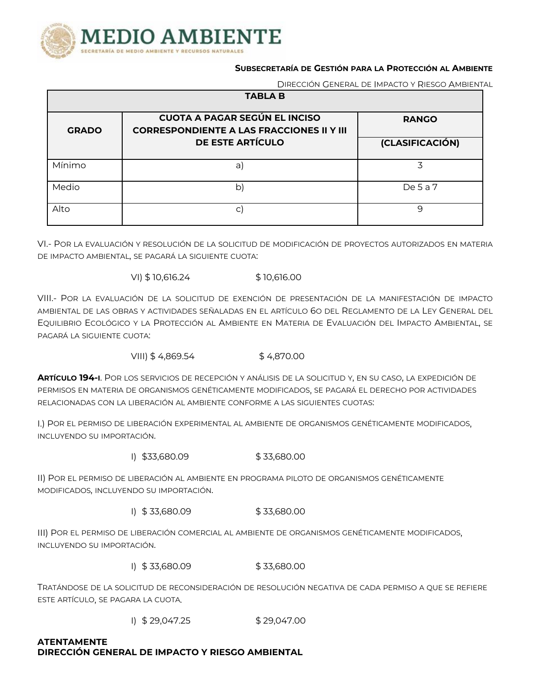

#### **SUBSECRETARÍA DE GESTIÓN PARA LA PROTECCIÓN AL AMBIENTE**

DIRECCIÓN GENERAL DE IMPACTO Y RIESGO AMBIENTAL

| <b>TABLA B</b> |                                                                                          |                 |  |  |  |
|----------------|------------------------------------------------------------------------------------------|-----------------|--|--|--|
| <b>GRADO</b>   | <b>CUOTA A PAGAR SEGÚN EL INCISO</b><br><b>CORRESPONDIENTE A LAS FRACCIONES II Y III</b> | <b>RANGO</b>    |  |  |  |
|                | DE ESTE ARTÍCULO                                                                         | (CLASIFICACIÓN) |  |  |  |
| Mínimo         | a)                                                                                       | 3               |  |  |  |
| Medio          | b)                                                                                       | De $5a7$        |  |  |  |
| Alto           | С                                                                                        | 9               |  |  |  |

VI.- POR LA EVALUACIÓN Y RESOLUCIÓN DE LA SOLICITUD DE MODIFICACIÓN DE PROYECTOS AUTORIZADOS EN MATERIA DE IMPACTO AMBIENTAL, SE PAGARÁ LA SIGUIENTE CUOTA:

VI) \$10,616.24 \$10,616.00

VIII.- POR LA EVALUACIÓN DE LA SOLICITUD DE EXENCIÓN DE PRESENTACIÓN DE LA MANIFESTACIÓN DE IMPACTO AMBIENTAL DE LAS OBRAS Y ACTIVIDADES SEÑALADAS EN EL ARTÍCULO 6O DEL REGLAMENTO DE LA LEY GENERAL DEL EQUILIBRIO ECOLÓGICO Y LA PROTECCIÓN AL AMBIENTE EN MATERIA DE EVALUACIÓN DEL IMPACTO AMBIENTAL, SE PAGARÁ LA SIGUIENTE CUOTA:

VIII) \$4,869.54 \$4,870.00

**ARTÍCULO 194-I**. POR LOS SERVICIOS DE RECEPCIÓN Y ANÁLISIS DE LA SOLICITUD Y, EN SU CASO, LA EXPEDICIÓN DE PERMISOS EN MATERIA DE ORGANISMOS GENÉTICAMENTE MODIFICADOS, SE PAGARÁ EL DERECHO POR ACTIVIDADES RELACIONADAS CON LA LIBERACIÓN AL AMBIENTE CONFORME A LAS SIGUIENTES CUOTAS:

I.) POR EL PERMISO DE LIBERACIÓN EXPERIMENTAL AL AMBIENTE DE ORGANISMOS GENÉTICAMENTE MODIFICADOS, INCLUYENDO SU IMPORTACIÓN.

 $1)$  \$33,680.09 \$ 33,680.00

II) POR EL PERMISO DE LIBERACIÓN AL AMBIENTE EN PROGRAMA PILOTO DE ORGANISMOS GENÉTICAMENTE MODIFICADOS, INCLUYENDO SU IMPORTACIÓN.

I) \$ 33,680.09 \$ 33,680.00

III) POR EL PERMISO DE LIBERACIÓN COMERCIAL AL AMBIENTE DE ORGANISMOS GENÉTICAMENTE MODIFICADOS, INCLUYENDO SU IMPORTACIÓN.

I) \$ 33,680.09 \$ 33,680.00

TRATÁNDOSE DE LA SOLICITUD DE RECONSIDERACIÓN DE RESOLUCIÓN NEGATIVA DE CADA PERMISO A QUE SE REFIERE ESTE ARTÍCULO, SE PAGARA LA CUOTA.

 $1)$  \$ 29,047.25 \$ 29,047.00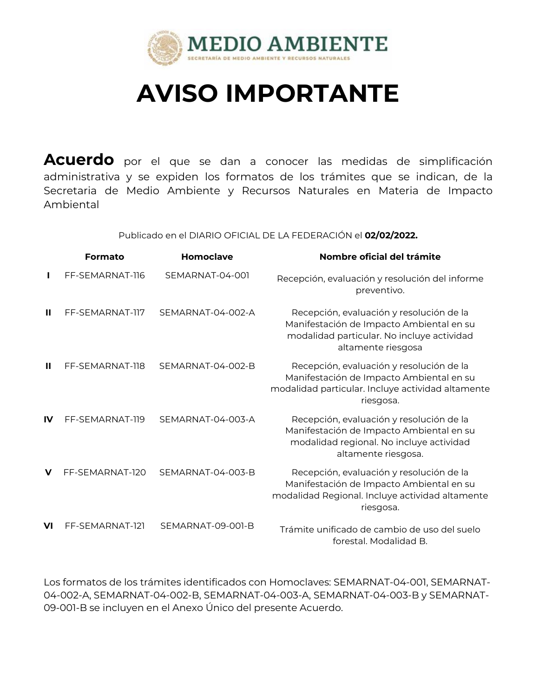

# **AVISO IMPORTANTE**

Acuerdo por el que se dan a conocer las medidas de simplificación administrativa y se expiden los formatos de los trámites que se indican, de la Secretaria de Medio Ambiente y Recursos Naturales en Materia de Impacto Ambiental

Publicado en el DIARIO OFICIAL DE LA FEDERACIÓN el **02/02/2022.**

|              | Formato         | Homoclave         | Nombre oficial del trámite                                                                                                                               |
|--------------|-----------------|-------------------|----------------------------------------------------------------------------------------------------------------------------------------------------------|
|              | FF-SEMARNAT-116 | SEMARNAT-04-001   | Recepción, evaluación y resolución del informe<br>preventivo.                                                                                            |
| Ш            | FF-SEMARNAT-117 | SEMARNAT-04-002-A | Recepción, evaluación y resolución de la<br>Manifestación de Impacto Ambiental en su<br>modalidad particular. No incluye actividad<br>altamente riesgosa |
| $\mathbf{u}$ | FF-SEMARNAT-118 | SEMARNAT-04-002-B | Recepción, evaluación y resolución de la<br>Manifestación de Impacto Ambiental en su<br>modalidad particular. Incluye actividad altamente<br>riesgosa.   |
| $\mathbf{I}$ | FF-SEMARNAT-119 | SEMARNAT-04-003-A | Recepción, evaluación y resolución de la<br>Manifestación de Impacto Ambiental en su<br>modalidad regional. No incluye actividad<br>altamente riesgosa.  |
| v            | FF-SEMARNAT-120 | SEMARNAT-04-003-B | Recepción, evaluación y resolución de la<br>Manifestación de Impacto Ambiental en su<br>modalidad Regional. Incluye actividad altamente<br>riesgosa.     |
| VI           | FF-SEMARNAT-121 | SEMARNAT-09-001-B | Trámite unificado de cambio de uso del suelo<br>forestal. Modalidad B.                                                                                   |

Los formatos de los trámites identificados con Homoclaves: SEMARNAT-04-001, SEMARNAT- 04-002-A, SEMARNAT-04-002-B, SEMARNAT-04-003-A, SEMARNAT-04-003-B y SEMARNAT- 09-001-B se incluyen en el Anexo Único del presente Acuerdo.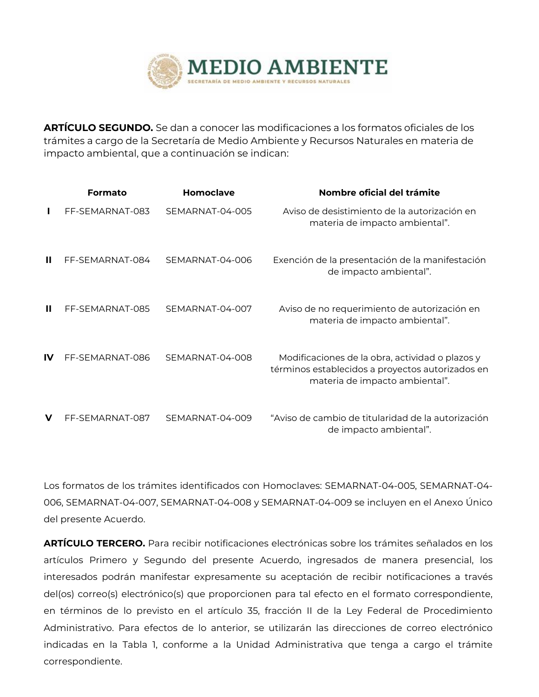

**ARTÍCULO SEGUNDO.** Se dan a conocer las modificaciones a los formatos oficiales de los trámites a cargo de la Secretaría de Medio Ambiente y Recursos Naturales en materia de impacto ambiental, que a continuación seindican:

|              | Formato         | Homoclave       | Nombre oficial del trámite                                                                                                            |
|--------------|-----------------|-----------------|---------------------------------------------------------------------------------------------------------------------------------------|
|              | FF-SEMARNAT-083 | SEMARNAT-04-005 | Aviso de desistimiento de la autorización en<br>materia de impacto ambiental".                                                        |
| Ш            | FF-SEMARNAT-084 | SEMARNAT-04-006 | Exención de la presentación de la manifestación<br>de impacto ambiental".                                                             |
| $\mathbf{I}$ | FF-SEMARNAT-085 | SEMARNAT-04-007 | Aviso de no requerimiento de autorización en<br>materia de impacto ambiental".                                                        |
| IV           | FF-SEMARNAT-086 | SEMARNAT-04-008 | Modificaciones de la obra, actividad o plazos y<br>términos establecidos a proyectos autorizados en<br>materia de impacto ambiental". |
| $\mathbf v$  | FF-SEMARNAT-087 | SEMARNAT-04-009 | "Aviso de cambio de titularidad de la autorización<br>de impacto ambiental".                                                          |

Los formatos de los trámites identificados con Homoclaves: SEMARNAT-04-005, SEMARNAT-04- 006, SEMARNAT-04-007, SEMARNAT-04-008 y SEMARNAT-04-009 se incluyen en el Anexo Único del presente Acuerdo.

**ARTÍCULO TERCERO.** Para recibir notificaciones electrónicas sobre los trámites señalados en los artículos Primero y Segundo del presente Acuerdo, ingresados de manera presencial, los interesados podrán manifestar expresamente su aceptación de recibir notificaciones a través del(os) correo(s) electrónico(s) que proporcionen para tal efecto en el formato correspondiente, en términos de lo previsto en el artículo 35, fracción II de la Ley Federal de Procedimiento Administrativo. Para efectos de lo anterior, se utilizarán las direcciones de correo electrónico indicadas en la Tabla 1, conforme a la Unidad Administrativa que tenga a cargo el trámite correspondiente.